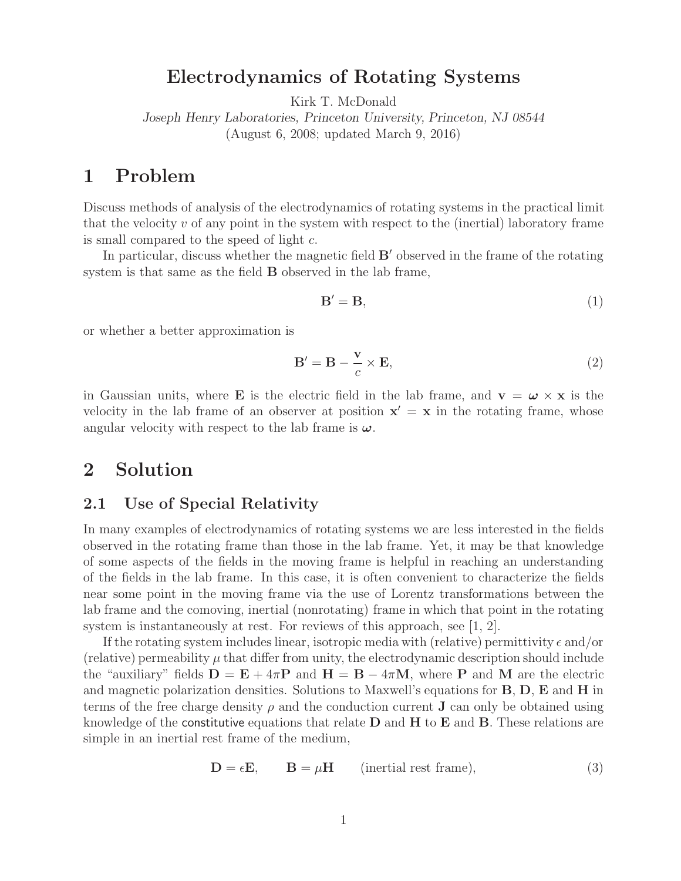# **Electrodynamics of Rotating Systems**

Kirk T. McDonald

*Joseph Henry Laboratories, Princeton University, Princeton, NJ 08544* (August 6, 2008; updated March 9, 2016)

# **1 Problem**

Discuss methods of analysis of the electrodynamics of rotating systems in the practical limit that the velocity  $v$  of any point in the system with respect to the (inertial) laboratory frame is small compared to the speed of light c.

In particular, discuss whether the magnetic field  $B'$  observed in the frame of the rotating system is that same as the field **B** observed in the lab frame,

$$
\mathbf{B}' = \mathbf{B},\tag{1}
$$

or whether a better approximation is

$$
\mathbf{B}' = \mathbf{B} - \frac{\mathbf{v}}{c} \times \mathbf{E},\tag{2}
$$

in Gaussian units, where **E** is the electric field in the lab frame, and  $\mathbf{v} = \boldsymbol{\omega} \times \mathbf{x}$  is the velocity in the lab frame of an observer at position  $x' = x$  in the rotating frame, whose angular velocity with respect to the lab frame is *ω*.

## **2 Solution**

### **2.1 Use of Special Relativity**

In many examples of electrodynamics of rotating systems we are less interested in the fields observed in the rotating frame than those in the lab frame. Yet, it may be that knowledge of some aspects of the fields in the moving frame is helpful in reaching an understanding of the fields in the lab frame. In this case, it is often convenient to characterize the fields near some point in the moving frame via the use of Lorentz transformations between the lab frame and the comoving, inertial (nonrotating) frame in which that point in the rotating system is instantaneously at rest. For reviews of this approach, see [1, 2].

If the rotating system includes linear, isotropic media with (relative) permittivity  $\epsilon$  and/or (relative) permeability  $\mu$  that differ from unity, the electrodynamic description should include the "auxiliary" fields  $\mathbf{D} = \mathbf{E} + 4\pi\mathbf{P}$  and  $\mathbf{H} = \mathbf{B} - 4\pi\mathbf{M}$ , where **P** and **M** are the electric and magnetic polarization densities. Solutions to Maxwell's equations for **B**, **D**, **E** and **H** in terms of the free charge density  $\rho$  and the conduction current **J** can only be obtained using knowledge of the constitutive equations that relate **D** and **H** to **E** and **B**. These relations are simple in an inertial rest frame of the medium,

$$
\mathbf{D} = \epsilon \mathbf{E}, \qquad \mathbf{B} = \mu \mathbf{H} \qquad \text{(inertial rest frame)}, \tag{3}
$$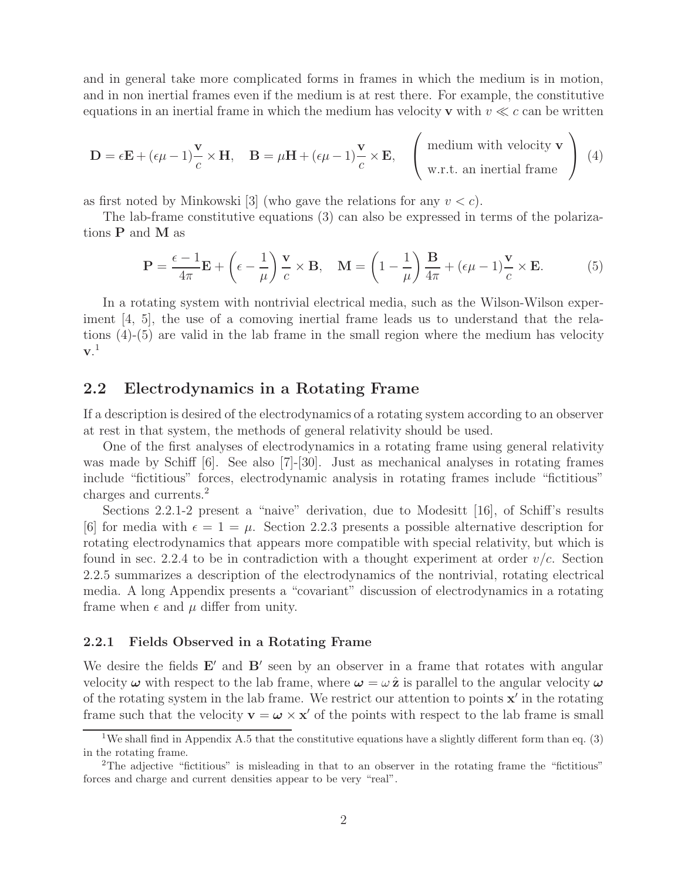and in general take more complicated forms in frames in which the medium is in motion, and in non inertial frames even if the medium is at rest there. For example, the constitutive equations in an inertial frame in which the medium has velocity **v** with  $v \ll c$  can be written

$$
\mathbf{D} = \epsilon \mathbf{E} + (\epsilon \mu - 1) \frac{\mathbf{v}}{c} \times \mathbf{H}, \quad \mathbf{B} = \mu \mathbf{H} + (\epsilon \mu - 1) \frac{\mathbf{v}}{c} \times \mathbf{E}, \quad \begin{pmatrix} \text{medium with velocity } \mathbf{v} \\ \text{w.r.t. an inertial frame} \end{pmatrix} (4)
$$

as first noted by Minkowski [3] (who gave the relations for any  $v < c$ ).

The lab-frame constitutive equations (3) can also be expressed in terms of the polarizations **P** and **M** as

$$
\mathbf{P} = \frac{\epsilon - 1}{4\pi} \mathbf{E} + \left(\epsilon - \frac{1}{\mu}\right) \frac{\mathbf{v}}{c} \times \mathbf{B}, \quad \mathbf{M} = \left(1 - \frac{1}{\mu}\right) \frac{\mathbf{B}}{4\pi} + (\epsilon \mu - 1) \frac{\mathbf{v}}{c} \times \mathbf{E}.
$$
 (5)

In a rotating system with nontrivial electrical media, such as the Wilson-Wilson experiment [4, 5], the use of a comoving inertial frame leads us to understand that the relations (4)-(5) are valid in the lab frame in the small region where the medium has velocity **v**. 1

## **2.2 Electrodynamics in a Rotating Frame**

If a description is desired of the electrodynamics of a rotating system according to an observer at rest in that system, the methods of general relativity should be used.

One of the first analyses of electrodynamics in a rotating frame using general relativity was made by Schiff [6]. See also [7]-[30]. Just as mechanical analyses in rotating frames include "fictitious" forces, electrodynamic analysis in rotating frames include "fictitious" charges and currents.<sup>2</sup>

Sections 2.2.1-2 present a "naive" derivation, due to Modesitt [16], of Schiff's results [6] for media with  $\epsilon = 1 = \mu$ . Section 2.2.3 presents a possible alternative description for rotating electrodynamics that appears more compatible with special relativity, but which is found in sec. 2.2.4 to be in contradiction with a thought experiment at order  $v/c$ . Section 2.2.5 summarizes a description of the electrodynamics of the nontrivial, rotating electrical media. A long Appendix presents a "covariant" discussion of electrodynamics in a rotating frame when  $\epsilon$  and  $\mu$  differ from unity.

#### **2.2.1 Fields Observed in a Rotating Frame**

We desire the fields  $E'$  and  $B'$  seen by an observer in a frame that rotates with angular velocity  $\omega$  with respect to the lab frame, where  $\omega = \omega \hat{z}$  is parallel to the angular velocity  $\omega$ of the rotating system in the lab frame. We restrict our attention to points **x'** in the rotating frame such that the velocity  $\mathbf{v} = \boldsymbol{\omega} \times \mathbf{x}'$  of the points with respect to the lab frame is small

<sup>&</sup>lt;sup>1</sup>We shall find in Appendix A.5 that the constitutive equations have a slightly different form than eq.  $(3)$ in the rotating frame.

<sup>&</sup>lt;sup>2</sup>The adjective "fictitious" is misleading in that to an observer in the rotating frame the "fictitious" forces and charge and current densities appear to be very "real".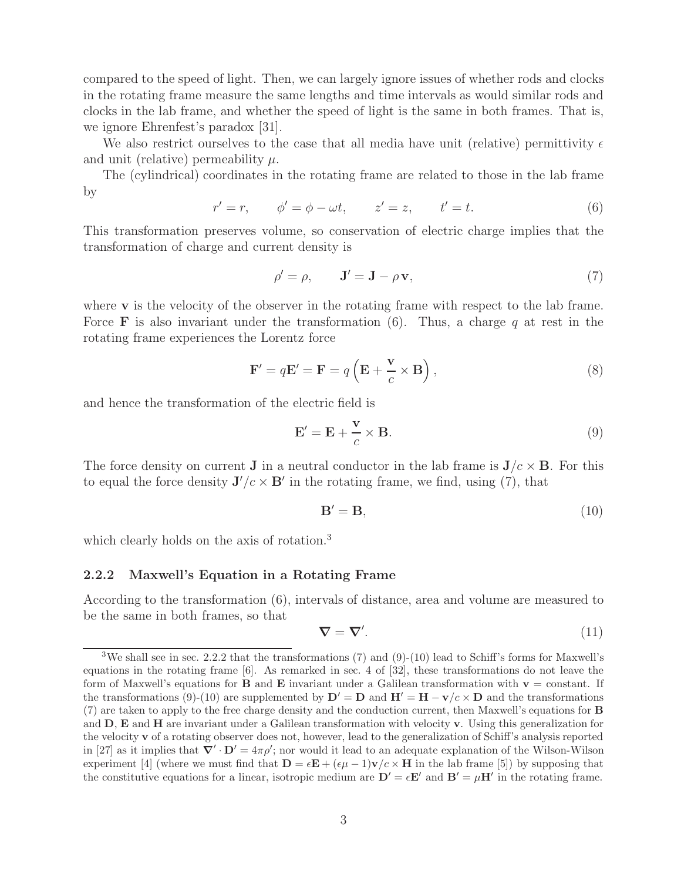compared to the speed of light. Then, we can largely ignore issues of whether rods and clocks in the rotating frame measure the same lengths and time intervals as would similar rods and clocks in the lab frame, and whether the speed of light is the same in both frames. That is, we ignore Ehrenfest's paradox [31].

We also restrict ourselves to the case that all media have unit (relative) permittivity  $\epsilon$ and unit (relative) permeability  $\mu$ .

The (cylindrical) coordinates in the rotating frame are related to those in the lab frame by

$$
r' = r,
$$
  $\phi' = \phi - \omega t,$   $z' = z,$   $t' = t.$  (6)

This transformation preserves volume, so conservation of electric charge implies that the transformation of charge and current density is

$$
\rho' = \rho, \qquad \mathbf{J}' = \mathbf{J} - \rho \mathbf{v}, \tag{7}
$$

where **v** is the velocity of the observer in the rotating frame with respect to the lab frame. Force **F** is also invariant under the transformation  $(6)$ . Thus, a charge q at rest in the rotating frame experiences the Lorentz force

$$
\mathbf{F}' = q\mathbf{E}' = \mathbf{F} = q\left(\mathbf{E} + \frac{\mathbf{v}}{c} \times \mathbf{B}\right),\tag{8}
$$

and hence the transformation of the electric field is

$$
\mathbf{E}' = \mathbf{E} + \frac{\mathbf{v}}{c} \times \mathbf{B}.\tag{9}
$$

The force density on current **J** in a neutral conductor in the lab frame is  $J/c \times B$ . For this to equal the force density  $J'/c \times B'$  in the rotating frame, we find, using (7), that

$$
\mathbf{B}' = \mathbf{B},\tag{10}
$$

which clearly holds on the axis of rotation.<sup>3</sup>

#### **2.2.2 Maxwell's Equation in a Rotating Frame**

According to the transformation (6), intervals of distance, area and volume are measured to be the same in both frames, so that

$$
\nabla = \nabla'.\tag{11}
$$

<sup>&</sup>lt;sup>3</sup>We shall see in sec. 2.2.2 that the transformations (7) and (9)-(10) lead to Schiff's forms for Maxwell's equations in the rotating frame [6]. As remarked in sec. 4 of [32], these transformations do not leave the form of Maxwell's equations for **B** and **E** invariant under a Galilean transformation with  $\mathbf{v} =$  constant. If the transformations (9)-(10) are supplemented by  $\mathbf{D}' = \mathbf{D}$  and  $\mathbf{H}' = \mathbf{H} - \mathbf{v}/c \times \mathbf{D}$  and the transformations (7) are taken to apply to the free charge density and the conduction current, then Maxwell's equations for **B** and **D**, **E** and **H** are invariant under a Galilean transformation with velocity **v**. Using this generalization for the velocity **v** of a rotating observer does not, however, lead to the generalization of Schiff's analysis reported in [27] as it implies that  $\nabla' \cdot \mathbf{D}' = 4\pi \rho'$ ; nor would it lead to an adequate explanation of the Wilson-Wilson experiment [4] (where we must find that  $\mathbf{D} = \epsilon \mathbf{E} + (\epsilon \mu - 1)\mathbf{v}/c \times \mathbf{H}$  in the lab frame [5]) by supposing that the constitutive equations for a linear, isotropic medium are  $D' = \epsilon E'$  and  $B' = \mu H'$  in the rotating frame.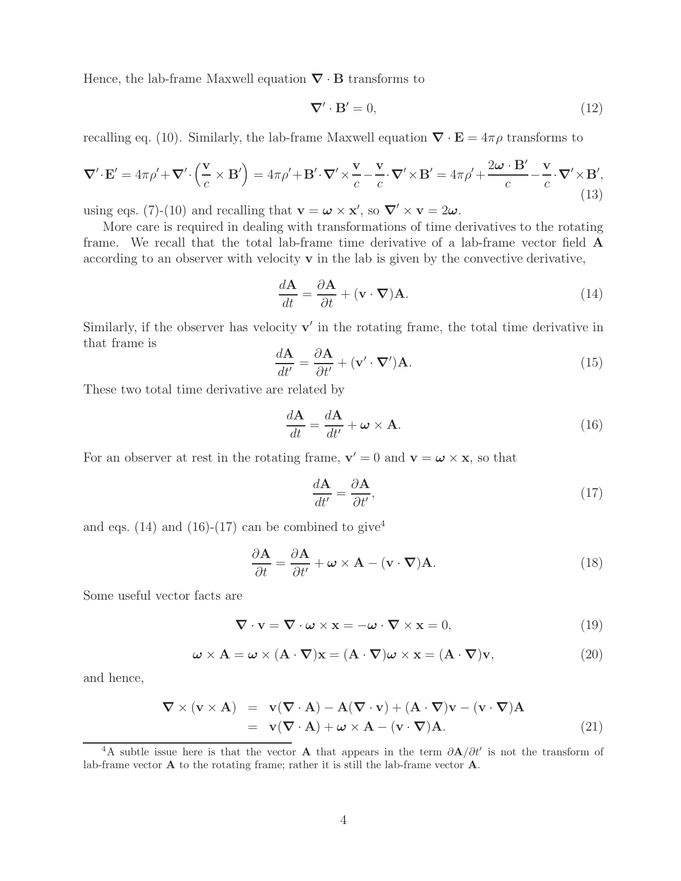Hence, the lab-frame Maxwell equation *∇* · **B** transforms to

$$
\nabla' \cdot \mathbf{B}' = 0,\tag{12}
$$

recalling eq. (10). Similarly, the lab-frame Maxwell equation  $\nabla \cdot \mathbf{E} = 4\pi \rho$  transforms to

$$
\nabla' \cdot \mathbf{E}' = 4\pi \rho' + \nabla' \cdot \left(\frac{\mathbf{v}}{c} \times \mathbf{B}'\right) = 4\pi \rho' + \mathbf{B}' \cdot \nabla' \times \frac{\mathbf{v}}{c} - \frac{\mathbf{v}}{c} \cdot \nabla' \times \mathbf{B}' = 4\pi \rho' + \frac{2\omega \cdot \mathbf{B}'}{c} - \frac{\mathbf{v}}{c} \cdot \nabla' \times \mathbf{B}',\tag{13}
$$

using eqs. (7)-(10) and recalling that  $\mathbf{v} = \boldsymbol{\omega} \times \mathbf{x}'$ , so  $\nabla' \times \mathbf{v} = 2\boldsymbol{\omega}$ .

More care is required in dealing with transformations of time derivatives to the rotating frame. We recall that the total lab-frame time derivative of a lab-frame vector field **A** according to an observer with velocity **v** in the lab is given by the convective derivative,

$$
\frac{d\mathbf{A}}{dt} = \frac{\partial \mathbf{A}}{\partial t} + (\mathbf{v} \cdot \nabla)\mathbf{A}.
$$
 (14)

Similarly, if the observer has velocity  $\mathbf{v}'$  in the rotating frame, the total time derivative in that frame is  $\ddot{\phantom{0}}$ 

$$
\frac{d\mathbf{A}}{dt'} = \frac{\partial \mathbf{A}}{\partial t'} + (\mathbf{v}' \cdot \nabla') \mathbf{A}.
$$
 (15)

These two total time derivative are related by

$$
\frac{d\mathbf{A}}{dt} = \frac{d\mathbf{A}}{dt'} + \boldsymbol{\omega} \times \mathbf{A}.
$$
 (16)

For an observer at rest in the rotating frame,  $\mathbf{v}' = 0$  and  $\mathbf{v} = \boldsymbol{\omega} \times \mathbf{x}$ , so that

$$
\frac{d\mathbf{A}}{dt'} = \frac{\partial \mathbf{A}}{\partial t'},\tag{17}
$$

and eqs. (14) and (16)-(17) can be combined to give<sup>4</sup>

$$
\frac{\partial \mathbf{A}}{\partial t} = \frac{\partial \mathbf{A}}{\partial t'} + \boldsymbol{\omega} \times \mathbf{A} - (\mathbf{v} \cdot \boldsymbol{\nabla}) \mathbf{A}.
$$
 (18)

Some useful vector facts are

$$
\nabla \cdot \mathbf{v} = \nabla \cdot \boldsymbol{\omega} \times \mathbf{x} = -\boldsymbol{\omega} \cdot \nabla \times \mathbf{x} = 0,
$$
\n(19)

$$
\boldsymbol{\omega} \times \mathbf{A} = \boldsymbol{\omega} \times (\mathbf{A} \cdot \boldsymbol{\nabla})\mathbf{x} = (\mathbf{A} \cdot \boldsymbol{\nabla})\boldsymbol{\omega} \times \mathbf{x} = (\mathbf{A} \cdot \boldsymbol{\nabla})\mathbf{v},\tag{20}
$$

and hence,

$$
\nabla \times (\mathbf{v} \times \mathbf{A}) = \mathbf{v}(\nabla \cdot \mathbf{A}) - \mathbf{A}(\nabla \cdot \mathbf{v}) + (\mathbf{A} \cdot \nabla)\mathbf{v} - (\mathbf{v} \cdot \nabla)\mathbf{A}
$$
  
=  $\mathbf{v}(\nabla \cdot \mathbf{A}) + \boldsymbol{\omega} \times \mathbf{A} - (\mathbf{v} \cdot \nabla)\mathbf{A}.$  (21)

<sup>4</sup>A subtle issue here is that the vector **A** that appears in the term  $\partial \mathbf{A}/\partial t'$  is not the transform of lab-frame vector **A** to the rotating frame; rather it is still the lab-frame vector **A**.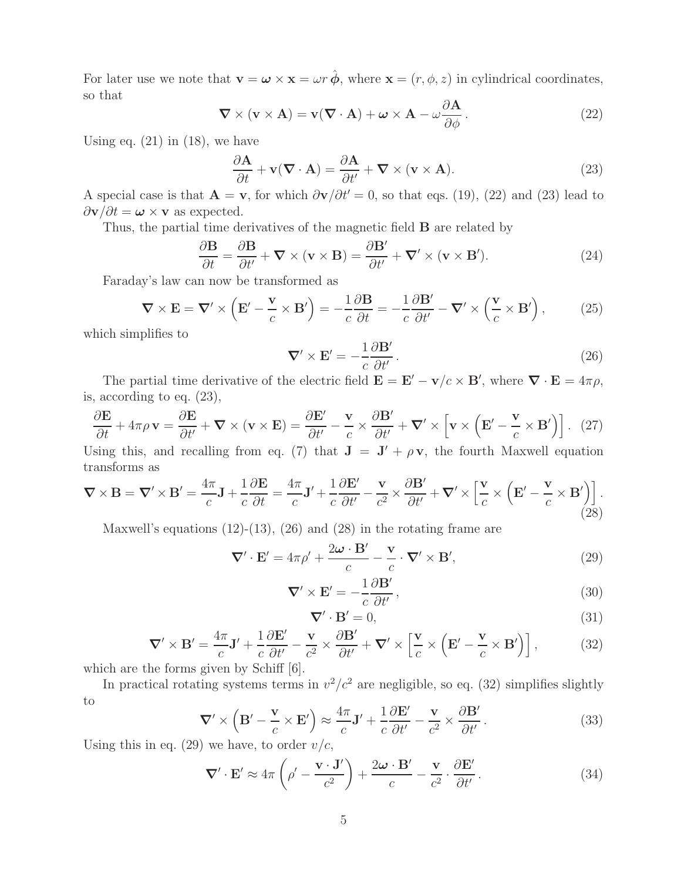For later use we note that  $\mathbf{v} = \boldsymbol{\omega} \times \mathbf{x} = \omega r \hat{\boldsymbol{\phi}}$ , where  $\mathbf{x} = (r, \phi, z)$  in cylindrical coordinates, so that

$$
\nabla \times (\mathbf{v} \times \mathbf{A}) = \mathbf{v}(\nabla \cdot \mathbf{A}) + \boldsymbol{\omega} \times \mathbf{A} - \omega \frac{\partial \mathbf{A}}{\partial \phi}.
$$
 (22)

Using eq.  $(21)$  in  $(18)$ , we have

$$
\frac{\partial \mathbf{A}}{\partial t} + \mathbf{v}(\nabla \cdot \mathbf{A}) = \frac{\partial \mathbf{A}}{\partial t'} + \nabla \times (\mathbf{v} \times \mathbf{A}).
$$
\n(23)

A special case is that  $\mathbf{A} = \mathbf{v}$ , for which  $\partial \mathbf{v}/\partial t' = 0$ , so that eqs. (19), (22) and (23) lead to  $\partial \mathbf{v}/\partial t = \boldsymbol{\omega} \times \mathbf{v}$  as expected.

Thus, the partial time derivatives of the magnetic field **B** are related by

$$
\frac{\partial \mathbf{B}}{\partial t} = \frac{\partial \mathbf{B}}{\partial t'} + \nabla \times (\mathbf{v} \times \mathbf{B}) = \frac{\partial \mathbf{B'}}{\partial t'} + \nabla' \times (\mathbf{v} \times \mathbf{B'})
$$
 (24)

Faraday's law can now be transformed as

$$
\nabla \times \mathbf{E} = \nabla' \times \left( \mathbf{E}' - \frac{\mathbf{v}}{c} \times \mathbf{B}' \right) = -\frac{1}{c} \frac{\partial \mathbf{B}}{\partial t} = -\frac{1}{c} \frac{\partial \mathbf{B}'}{\partial t'} - \nabla' \times \left( \frac{\mathbf{v}}{c} \times \mathbf{B}' \right), \tag{25}
$$

which simplifies to

$$
\nabla' \times \mathbf{E}' = -\frac{1}{c} \frac{\partial \mathbf{B}'}{\partial t'}.
$$
 (26)

The partial time derivative of the electric field  $\mathbf{E} = \mathbf{E}' - \mathbf{v}/c \times \mathbf{B}'$ , where  $\nabla \cdot \mathbf{E} = 4\pi \rho$ , is, according to eq. (23),

$$
\frac{\partial \mathbf{E}}{\partial t} + 4\pi \rho \mathbf{v} = \frac{\partial \mathbf{E}}{\partial t'} + \nabla \times (\mathbf{v} \times \mathbf{E}) = \frac{\partial \mathbf{E'}}{\partial t'} - \frac{\mathbf{v}}{c} \times \frac{\partial \mathbf{B'}}{\partial t'} + \nabla' \times \left[ \mathbf{v} \times \left( \mathbf{E'} - \frac{\mathbf{v}}{c} \times \mathbf{B'} \right) \right]. \tag{27}
$$

Using this, and recalling from eq. (7) that  $J = J' + \rho v$ , the fourth Maxwell equation transforms as

$$
\nabla \times \mathbf{B} = \nabla' \times \mathbf{B}' = \frac{4\pi}{c} \mathbf{J} + \frac{1}{c} \frac{\partial \mathbf{E}}{\partial t} = \frac{4\pi}{c} \mathbf{J}' + \frac{1}{c} \frac{\partial \mathbf{E}'}{\partial t'} - \frac{\mathbf{v}}{c^2} \times \frac{\partial \mathbf{B}'}{\partial t'} + \nabla' \times \left[ \frac{\mathbf{v}}{c} \times \left( \mathbf{E}' - \frac{\mathbf{v}}{c} \times \mathbf{B}' \right) \right].
$$
\n(28)

Maxwell's equations  $(12)-(13)$ ,  $(26)$  and  $(28)$  in the rotating frame are

$$
\nabla' \cdot \mathbf{E}' = 4\pi \rho' + \frac{2\omega \cdot \mathbf{B}'}{c} - \frac{\mathbf{v}}{c} \cdot \nabla' \times \mathbf{B}',\tag{29}
$$

$$
\nabla' \times \mathbf{E}' = -\frac{1}{c} \frac{\partial \mathbf{B}'}{\partial t'},\tag{30}
$$

$$
\nabla' \cdot \mathbf{B}' = 0,\tag{31}
$$

$$
\nabla' \times \mathbf{B}' = \frac{4\pi}{c} \mathbf{J}' + \frac{1}{c} \frac{\partial \mathbf{E}'}{\partial t'} - \frac{\mathbf{v}}{c^2} \times \frac{\partial \mathbf{B}'}{\partial t'} + \nabla' \times \left[ \frac{\mathbf{v}}{c} \times \left( \mathbf{E}' - \frac{\mathbf{v}}{c} \times \mathbf{B}' \right) \right],\tag{32}
$$

which are the forms given by Schiff [6].

In practical rotating systems terms in  $v^2/c^2$  are negligible, so eq. (32) simplifies slightly to

$$
\nabla' \times \left( \mathbf{B}' - \frac{\mathbf{v}}{c} \times \mathbf{E}' \right) \approx \frac{4\pi}{c} \mathbf{J}' + \frac{1}{c} \frac{\partial \mathbf{E}'}{\partial t'} - \frac{\mathbf{v}}{c^2} \times \frac{\partial \mathbf{B}'}{\partial t'}.
$$
 (33)

Using this in eq. (29) we have, to order  $v/c$ ,

$$
\nabla' \cdot \mathbf{E}' \approx 4\pi \left( \rho' - \frac{\mathbf{v} \cdot \mathbf{J}'}{c^2} \right) + \frac{2\omega \cdot \mathbf{B}'}{c} - \frac{\mathbf{v}}{c^2} \cdot \frac{\partial \mathbf{E}'}{\partial t'}.
$$
 (34)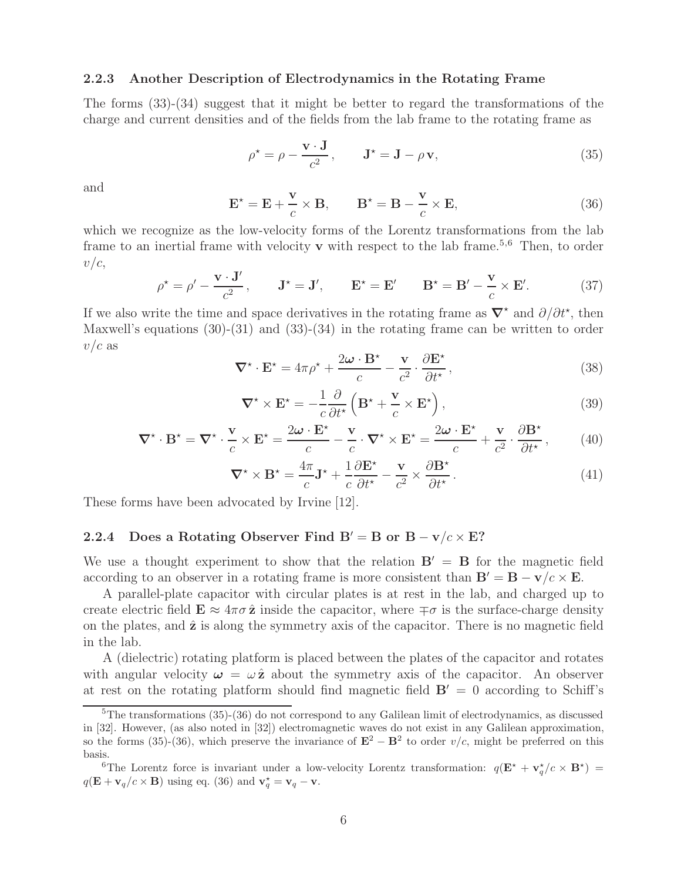#### **2.2.3 Another Description of Electrodynamics in the Rotating Frame**

The forms (33)-(34) suggest that it might be better to regard the transformations of the charge and current densities and of the fields from the lab frame to the rotating frame as

$$
\rho^* = \rho - \frac{\mathbf{v} \cdot \mathbf{J}}{c^2}, \qquad \mathbf{J}^* = \mathbf{J} - \rho \mathbf{v}, \tag{35}
$$

and

$$
\mathbf{E}^{\star} = \mathbf{E} + \frac{\mathbf{v}}{c} \times \mathbf{B}, \qquad \mathbf{B}^{\star} = \mathbf{B} - \frac{\mathbf{v}}{c} \times \mathbf{E}, \tag{36}
$$

which we recognize as the low-velocity forms of the Lorentz transformations from the lab frame to an inertial frame with velocity **v** with respect to the lab frame.<sup>5,6</sup> Then, to order  $v/c$ ,

$$
\rho^* = \rho' - \frac{\mathbf{v} \cdot \mathbf{J}'}{c^2}, \qquad \mathbf{J}^* = \mathbf{J}', \qquad \mathbf{E}^* = \mathbf{E}' \qquad \mathbf{B}^* = \mathbf{B}' - \frac{\mathbf{v}}{c} \times \mathbf{E}'. \tag{37}
$$

If we also write the time and space derivatives in the rotating frame as  $\nabla^*$  and  $\partial/\partial t^*$ , then Maxwell's equations (30)-(31) and (33)-(34) in the rotating frame can be written to order  $v/c$  as

$$
\nabla^{\star} \cdot \mathbf{E}^{\star} = 4\pi \rho^{\star} + \frac{2\omega \cdot \mathbf{B}^{\star}}{c} - \frac{\mathbf{v}}{c^2} \cdot \frac{\partial \mathbf{E}^{\star}}{\partial t^{\star}},
$$
(38)

$$
\nabla^* \times \mathbf{E}^* = -\frac{1}{c} \frac{\partial}{\partial t^*} \left( \mathbf{B}^* + \frac{\mathbf{v}}{c} \times \mathbf{E}^* \right),\tag{39}
$$

$$
\nabla^{\star} \cdot \mathbf{B}^{\star} = \nabla^{\star} \cdot \frac{\mathbf{v}}{c} \times \mathbf{E}^{\star} = \frac{2\omega \cdot \mathbf{E}^{\star}}{c} - \frac{\mathbf{v}}{c} \cdot \nabla^{\star} \times \mathbf{E}^{\star} = \frac{2\omega \cdot \mathbf{E}^{\star}}{c} + \frac{\mathbf{v}}{c^2} \cdot \frac{\partial \mathbf{B}^{\star}}{\partial t^{\star}},\tag{40}
$$

$$
\nabla^{\star} \times \mathbf{B}^{\star} = \frac{4\pi}{c} \mathbf{J}^{\star} + \frac{1}{c} \frac{\partial \mathbf{E}^{\star}}{\partial t^{\star}} - \frac{\mathbf{v}}{c^2} \times \frac{\partial \mathbf{B}^{\star}}{\partial t^{\star}}.
$$
 (41)

These forms have been advocated by Irvine [12].

# **2.2.4** Does a Rotating Observer Find  $B' = B$  or  $B - v/c \times E$ ?

We use a thought experiment to show that the relation  $B' = B$  for the magnetic field according to an observer in a rotating frame is more consistent than  $\mathbf{B}' = \mathbf{B} - \mathbf{v}/c \times \mathbf{E}$ .

A parallel-plate capacitor with circular plates is at rest in the lab, and charged up to create electric field  $\mathbf{E} \approx 4\pi\sigma \hat{\mathbf{z}}$  inside the capacitor, where  $\mp \sigma$  is the surface-charge density on the plates, and **z**ˆ is along the symmetry axis of the capacitor. There is no magnetic field in the lab.

A (dielectric) rotating platform is placed between the plates of the capacitor and rotates with angular velocity  $\omega = \omega \hat{z}$  about the symmetry axis of the capacitor. An observer at rest on the rotating platform should find magnetic field  $B' = 0$  according to Schiff's

<sup>5</sup>The transformations (35)-(36) do not correspond to any Galilean limit of electrodynamics, as discussed in [32]. However, (as also noted in [32]) electromagnetic waves do not exist in any Galilean approximation, so the forms (35)-(36), which preserve the invariance of  $\mathbf{E}^2 - \mathbf{B}^2$  to order v/c, might be preferred on this basis.

<sup>&</sup>lt;sup>6</sup>The Lorentz force is invariant under a low-velocity Lorentz transformation:  $q(\mathbf{E}^* + \mathbf{v}_q^*/c \times \mathbf{B}^*)$  $q(\mathbf{E} + \mathbf{v}_q/c \times \mathbf{B})$  using eq. (36) and  $\mathbf{v}_q^* = \mathbf{v}_q - \mathbf{v}$ .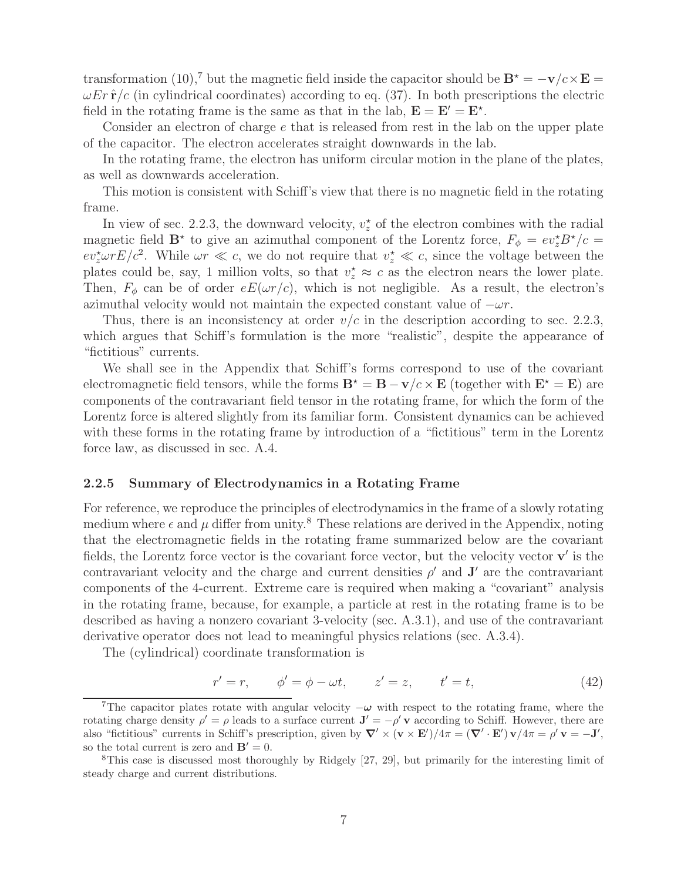transformation (10),<sup>7</sup> but the magnetic field inside the capacitor should be  $\mathbf{B}^* = -\mathbf{v}/c \times \mathbf{E} =$  $\omega E r \hat{\mathbf{r}}/c$  (in cylindrical coordinates) according to eq. (37). In both prescriptions the electric field in the rotating frame is the same as that in the lab,  $\mathbf{E} = \mathbf{E}' = \mathbf{E}^*$ .

Consider an electron of charge e that is released from rest in the lab on the upper plate of the capacitor. The electron accelerates straight downwards in the lab.

In the rotating frame, the electron has uniform circular motion in the plane of the plates, as well as downwards acceleration.

This motion is consistent with Schiff's view that there is no magnetic field in the rotating frame.

In view of sec. 2.2.3, the downward velocity,  $v_z^*$  of the electron combines with the radial magnetic field  $\mathbf{B}^*$  to give an azimuthal component of the Lorentz force,  $F_{\phi} = ev_z^* B^* / c =$  $ev_z^{\star} \omega r E/c^2$ . While  $\omega r \ll c$ , we do not require that  $v_z^{\star} \ll c$ , since the voltage between the plates could be, say, 1 million volts, so that  $v_z^* \approx c$  as the electron nears the lower plate. Then,  $F_{\phi}$  can be of order  $eE(\omega r/c)$ , which is not negligible. As a result, the electron's azimuthal velocity would not maintain the expected constant value of  $-\omega r$ .

Thus, there is an inconsistency at order  $v/c$  in the description according to sec. 2.2.3, which argues that Schiff's formulation is the more "realistic", despite the appearance of "fictitious" currents.

We shall see in the Appendix that Schiff's forms correspond to use of the covariant electromagnetic field tensors, while the forms  $\mathbf{B}^* = \mathbf{B} - \mathbf{v}/c \times \mathbf{E}$  (together with  $\mathbf{E}^* = \mathbf{E}$ ) are components of the contravariant field tensor in the rotating frame, for which the form of the Lorentz force is altered slightly from its familiar form. Consistent dynamics can be achieved with these forms in the rotating frame by introduction of a "fictitious" term in the Lorentz force law, as discussed in sec. A.4.

#### **2.2.5 Summary of Electrodynamics in a Rotating Frame**

For reference, we reproduce the principles of electrodynamics in the frame of a slowly rotating medium where  $\epsilon$  and  $\mu$  differ from unity.<sup>8</sup> These relations are derived in the Appendix, noting that the electromagnetic fields in the rotating frame summarized below are the covariant fields, the Lorentz force vector is the covariant force vector, but the velocity vector  $\mathbf{v}'$  is the contravariant velocity and the charge and current densities  $\rho'$  and  $\mathbf{J}'$  are the contravariant components of the 4-current. Extreme care is required when making a "covariant" analysis in the rotating frame, because, for example, a particle at rest in the rotating frame is to be described as having a nonzero covariant 3-velocity (sec. A.3.1), and use of the contravariant derivative operator does not lead to meaningful physics relations (sec. A.3.4).

The (cylindrical) coordinate transformation is

$$
r' = r, \qquad \phi' = \phi - \omega t, \qquad z' = z, \qquad t' = t,
$$
\n
$$
(42)
$$

<sup>&</sup>lt;sup>7</sup>The capacitor plates rotate with angular velocity  $-\omega$  with respect to the rotating frame, where the rotating charge density  $\rho' = \rho$  leads to a surface current  $\mathbf{J}' = -\rho' \mathbf{v}$  according to Schiff. However, there are also "fictitious" currents in Schiff's prescription, given by  $\nabla' \times (\mathbf{v} \times \mathbf{E}')/4\pi = (\nabla' \cdot \mathbf{E}')\mathbf{v}/4\pi = \rho' \mathbf{v} = -\mathbf{J}'$ , so the total current is zero and  $\mathbf{B}' = 0$ .

<sup>8</sup>This case is discussed most thoroughly by Ridgely [27, 29], but primarily for the interesting limit of steady charge and current distributions.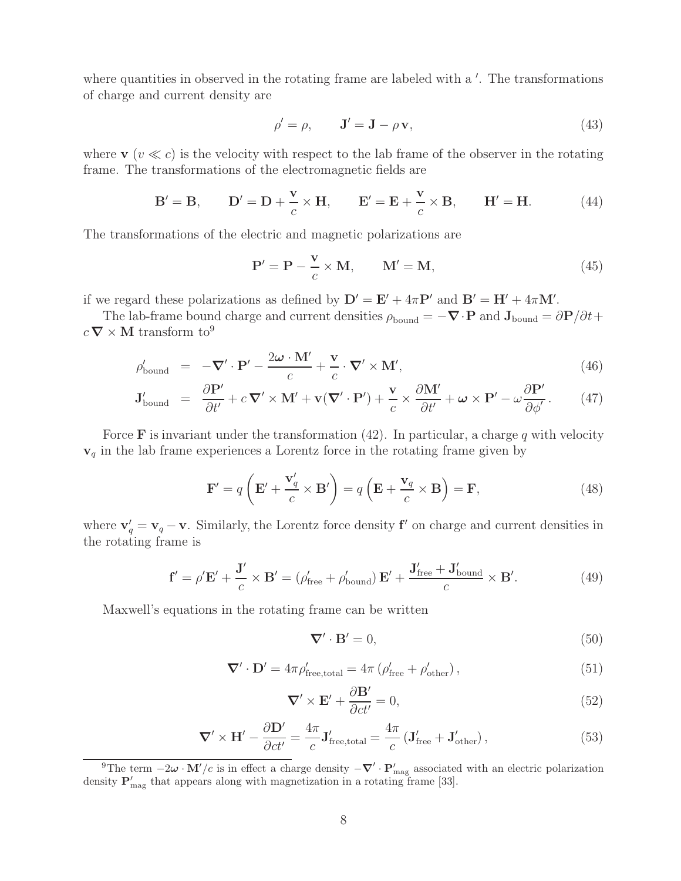where quantities in observed in the rotating frame are labeled with a  $\prime$ . The transformations of charge and current density are

$$
\rho' = \rho, \qquad \mathbf{J}' = \mathbf{J} - \rho \mathbf{v}, \tag{43}
$$

where  $\mathbf{v}$  ( $v \ll c$ ) is the velocity with respect to the lab frame of the observer in the rotating frame. The transformations of the electromagnetic fields are

$$
\mathbf{B}' = \mathbf{B}, \qquad \mathbf{D}' = \mathbf{D} + \frac{\mathbf{v}}{c} \times \mathbf{H}, \qquad \mathbf{E}' = \mathbf{E} + \frac{\mathbf{v}}{c} \times \mathbf{B}, \qquad \mathbf{H}' = \mathbf{H}.
$$
 (44)

The transformations of the electric and magnetic polarizations are

$$
\mathbf{P}' = \mathbf{P} - \frac{\mathbf{v}}{c} \times \mathbf{M}, \qquad \mathbf{M}' = \mathbf{M}, \tag{45}
$$

if we regard these polarizations as defined by  $D' = E' + 4\pi P'$  and  $B' = H' + 4\pi M'$ .

The lab-frame bound charge and current densities  $\rho_{\text{bound}} = -\nabla \cdot \mathbf{P}$  and  $\mathbf{J}_{\text{bound}} = \frac{\partial \mathbf{P}}{\partial t} + \frac{\partial \mathbf{P}}{\partial t}$  $c \, \boldsymbol{\nabla} \times \mathbf{M}$  transform  $\mathrm{to}^9$ 

$$
\rho'_{\text{bound}} = -\nabla' \cdot \mathbf{P}' - \frac{2\omega \cdot \mathbf{M}'}{c} + \frac{\mathbf{v}}{c} \cdot \nabla' \times \mathbf{M}',\tag{46}
$$

$$
\mathbf{J}_{\text{bound}}' = \frac{\partial \mathbf{P}'}{\partial t'} + c \, \nabla' \times \mathbf{M}' + \mathbf{v} (\nabla' \cdot \mathbf{P}') + \frac{\mathbf{v}}{c} \times \frac{\partial \mathbf{M}'}{\partial t'} + \boldsymbol{\omega} \times \mathbf{P}' - \omega \frac{\partial \mathbf{P}'}{\partial \phi'}.
$$
 (47)

Force **F** is invariant under the transformation  $(42)$ . In particular, a charge q with velocity **v**<sup>q</sup> in the lab frame experiences a Lorentz force in the rotating frame given by

$$
\mathbf{F}' = q\left(\mathbf{E}' + \frac{\mathbf{v}'_q}{c} \times \mathbf{B}'\right) = q\left(\mathbf{E} + \frac{\mathbf{v}_q}{c} \times \mathbf{B}\right) = \mathbf{F},\tag{48}
$$

where  $\mathbf{v}'_q = \mathbf{v}_q - \mathbf{v}$ . Similarly, the Lorentz force density **f**<sup> $\prime$ </sup> on charge and current densities in the rotating frame is

$$
\mathbf{f}' = \rho' \mathbf{E}' + \frac{\mathbf{J}'}{c} \times \mathbf{B}' = (\rho'_{\text{free}} + \rho'_{\text{bound}}) \mathbf{E}' + \frac{\mathbf{J}'_{\text{free}} + \mathbf{J}'_{\text{bound}}}{c} \times \mathbf{B}'. \tag{49}
$$

Maxwell's equations in the rotating frame can be written

$$
\nabla' \cdot \mathbf{B}' = 0,\tag{50}
$$

$$
\nabla' \cdot \mathbf{D}' = 4\pi \rho'_{\text{free,total}} = 4\pi \left( \rho'_{\text{free}} + \rho'_{\text{other}} \right),\tag{51}
$$

$$
\nabla' \times \mathbf{E}' + \frac{\partial \mathbf{B}'}{\partial ct'} = 0,\tag{52}
$$

$$
\nabla' \times \mathbf{H}' - \frac{\partial \mathbf{D}'}{\partial ct'} = \frac{4\pi}{c} \mathbf{J}'_{\text{free,total}} = \frac{4\pi}{c} \left( \mathbf{J}'_{\text{free}} + \mathbf{J}'_{\text{other}} \right),\tag{53}
$$

<sup>&</sup>lt;sup>9</sup>The term  $-2\omega \cdot M'/c$  is in effect a charge density  $-\nabla' \cdot P'_{\text{mag}}$  associated with an electric polarization density  $P'_{mag}$  that appears along with magnetization in a rotating frame [33].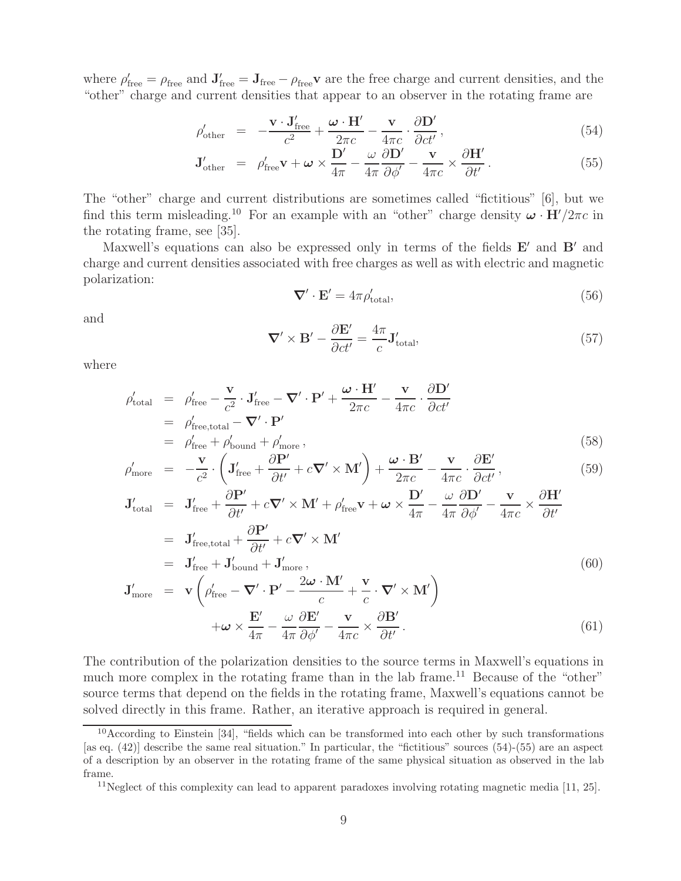where  $\rho'_{\text{free}} = \rho_{\text{free}}$  and  $\mathbf{J}'_{\text{free}} = \mathbf{J}_{\text{free}} - \rho_{\text{free}}\mathbf{v}$  are the free charge and current densities, and the "other" charge and current densities that appear to an observer in the rotating frame are

$$
\rho'_{\text{other}} = -\frac{\mathbf{v} \cdot \mathbf{J}_{\text{free}}'}{c^2} + \frac{\boldsymbol{\omega} \cdot \mathbf{H}'}{2\pi c} - \frac{\mathbf{v}}{4\pi c} \cdot \frac{\partial \mathbf{D}'}{\partial ct'},
$$
\n(54)

$$
\mathbf{J}_{\text{other}}' = \rho_{\text{free}}' \mathbf{v} + \boldsymbol{\omega} \times \frac{\mathbf{D}'}{4\pi} - \frac{\omega}{4\pi} \frac{\partial \mathbf{D}'}{\partial \phi'} - \frac{\mathbf{v}}{4\pi c} \times \frac{\partial \mathbf{H}'}{\partial t'}.
$$
(55)

The "other" charge and current distributions are sometimes called "fictitious" [6], but we find this term misleading.<sup>10</sup> For an example with an "other" charge density  $\omega \cdot H'/2\pi c$  in the rotating frame, see [35].

Maxwell's equations can also be expressed only in terms of the fields **E**' and **B**' and charge and current densities associated with free charges as well as with electric and magnetic polarization:

$$
\nabla' \cdot \mathbf{E}' = 4\pi \rho'_{\text{total}},\tag{56}
$$

and

$$
\nabla' \times \mathbf{B}' - \frac{\partial \mathbf{E}'}{\partial ct'} = \frac{4\pi}{c} \mathbf{J}_{\text{total}}'
$$
 (57)

where

$$
\rho'_{\text{total}} = \rho'_{\text{free}} - \frac{\mathbf{v}}{c^2} \cdot \mathbf{J}'_{\text{free}} - \nabla' \cdot \mathbf{P}' + \frac{\boldsymbol{\omega} \cdot \mathbf{H}'}{2\pi c} - \frac{\mathbf{v}}{4\pi c} \cdot \frac{\partial \mathbf{D}'}{\partial ct'}
$$
\n
$$
= \rho'_{\text{free,total}} - \nabla' \cdot \mathbf{P}'
$$
\n
$$
= \rho'_{\text{free}} + \rho'_{\text{bound}} + \rho'_{\text{more}},
$$
\n(58)

$$
\rho'_{\text{more}} = -\frac{\mathbf{v}}{c^2} \cdot \left( \mathbf{J}'_{\text{free}} + \frac{\partial \mathbf{P}'}{\partial t'} + c \nabla' \times \mathbf{M}' \right) + \frac{\boldsymbol{\omega} \cdot \mathbf{B}'}{2\pi c} - \frac{\mathbf{v}}{4\pi c} \cdot \frac{\partial \mathbf{E}'}{\partial ct'},
$$
\n(59)

$$
\mathbf{J}_{\text{total}}' = \mathbf{J}_{\text{free}}' + \frac{\partial \mathbf{P}'}{\partial t'} + c \nabla' \times \mathbf{M}' + \rho_{\text{free}}' \mathbf{v} + \boldsymbol{\omega} \times \frac{\mathbf{D}'}{4\pi} - \frac{\omega}{4\pi} \frac{\partial \mathbf{D}'}{\partial \phi'} - \frac{\mathbf{v}}{4\pi c} \times \frac{\partial \mathbf{H}'}{\partial t'}
$$
\n
$$
= \mathbf{J}_{\text{free,total}}' + \frac{\partial \mathbf{P}'}{\partial t'} + c \nabla' \times \mathbf{M}'
$$
\n
$$
= \mathbf{J}_{\text{free}}' + \mathbf{J}_{\text{bound}}' + \mathbf{J}_{\text{more}}',
$$
\n
$$
\mathbf{J}_{\text{more}}' = \mathbf{v} \left( \rho_{\text{free}}' - \nabla' \cdot \mathbf{P}' - \frac{2\boldsymbol{\omega} \cdot \mathbf{M}'}{c} + \frac{\mathbf{v}}{c} \cdot \nabla' \times \mathbf{M}' \right)
$$
\n
$$
+ \boldsymbol{\omega} \times \frac{\mathbf{E}'}{4\pi} - \frac{\omega}{4\pi} \frac{\partial \mathbf{E}'}{\partial \phi'} - \frac{\mathbf{v}}{4\pi c} \times \frac{\partial \mathbf{B}'}{\partial t'}.
$$
\n(61)

The contribution of the polarization densities to the source terms in Maxwell's equations in much more complex in the rotating frame than in the lab frame.<sup>11</sup> Because of the "other" source terms that depend on the fields in the rotating frame, Maxwell's equations cannot be solved directly in this frame. Rather, an iterative approach is required in general.

<sup>&</sup>lt;sup>10</sup>According to Einstein [34], "fields which can be transformed into each other by such transformations [as eq. (42)] describe the same real situation." In particular, the "fictitious" sources (54)-(55) are an aspect of a description by an observer in the rotating frame of the same physical situation as observed in the lab frame.

<sup>&</sup>lt;sup>11</sup>Neglect of this complexity can lead to apparent paradoxes involving rotating magnetic media [11, 25].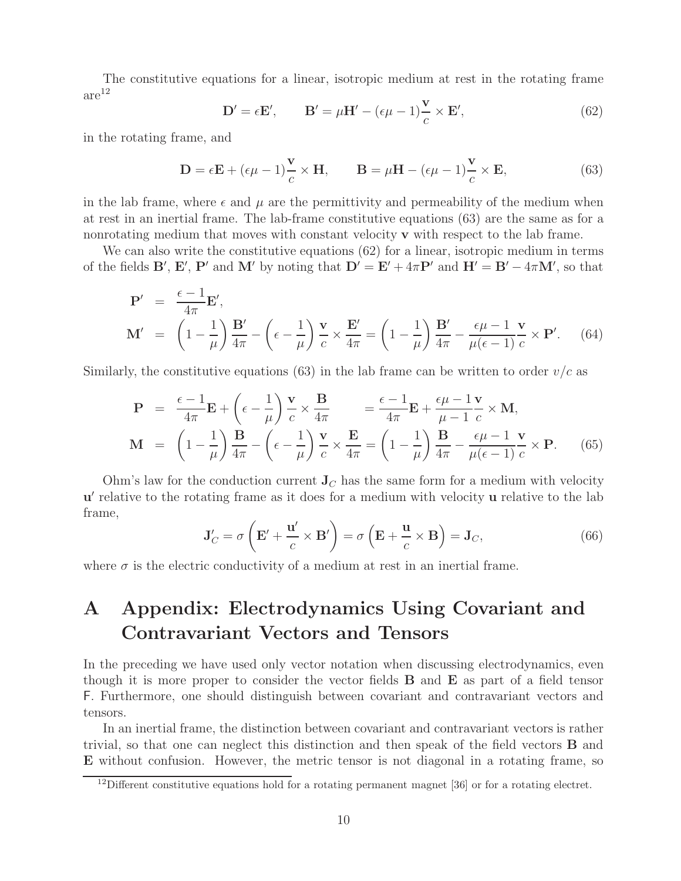The constitutive equations for a linear, isotropic medium at rest in the rotating frame  $are<sup>12</sup>$ 

$$
\mathbf{D}' = \epsilon \mathbf{E}', \qquad \mathbf{B}' = \mu \mathbf{H}' - (\epsilon \mu - 1) \frac{\mathbf{v}}{c} \times \mathbf{E}', \tag{62}
$$

in the rotating frame, and

$$
\mathbf{D} = \epsilon \mathbf{E} + (\epsilon \mu - 1) \frac{\mathbf{v}}{c} \times \mathbf{H}, \qquad \mathbf{B} = \mu \mathbf{H} - (\epsilon \mu - 1) \frac{\mathbf{v}}{c} \times \mathbf{E}, \tag{63}
$$

in the lab frame, where  $\epsilon$  and  $\mu$  are the permittivity and permeability of the medium when at rest in an inertial frame. The lab-frame constitutive equations (63) are the same as for a nonrotating medium that moves with constant velocity **v** with respect to the lab frame.

We can also write the constitutive equations (62) for a linear, isotropic medium in terms of the fields **B'**, **E'**, **P'** and **M'** by noting that  $D' = E' + 4\pi P'$  and  $H' = B' - 4\pi M'$ , so that

$$
\mathbf{P}' = \frac{\epsilon - 1}{4\pi} \mathbf{E}',
$$
  
\n
$$
\mathbf{M}' = \left(1 - \frac{1}{\mu}\right) \frac{\mathbf{B}'}{4\pi} - \left(\epsilon - \frac{1}{\mu}\right) \frac{\mathbf{v}}{c} \times \frac{\mathbf{E}'}{4\pi} = \left(1 - \frac{1}{\mu}\right) \frac{\mathbf{B}'}{4\pi} - \frac{\epsilon \mu - 1}{\mu(\epsilon - 1)} \frac{\mathbf{v}}{c} \times \mathbf{P}'. \quad (64)
$$

Similarly, the constitutive equations (63) in the lab frame can be written to order  $v/c$  as

$$
\mathbf{P} = \frac{\epsilon - 1}{4\pi} \mathbf{E} + \left(\epsilon - \frac{1}{\mu}\right) \frac{\mathbf{v}}{c} \times \frac{\mathbf{B}}{4\pi} = \frac{\epsilon - 1}{4\pi} \mathbf{E} + \frac{\epsilon \mu - 1}{\mu - 1} \frac{\mathbf{v}}{c} \times \mathbf{M},
$$
\n
$$
\mathbf{M} = \left(1 - \frac{1}{\mu}\right) \frac{\mathbf{B}}{4\pi} - \left(\epsilon - \frac{1}{\mu}\right) \frac{\mathbf{v}}{c} \times \frac{\mathbf{E}}{4\pi} = \left(1 - \frac{1}{\mu}\right) \frac{\mathbf{B}}{4\pi} - \frac{\epsilon \mu - 1}{\mu(\epsilon - 1)} \frac{\mathbf{v}}{c} \times \mathbf{P}.
$$
\n(65)

Ohm's law for the conduction current  $\mathbf{J}_C$  has the same form for a medium with velocity **u**' relative to the rotating frame as it does for a medium with velocity **u** relative to the lab frame,

$$
\mathbf{J}'_C = \sigma \left( \mathbf{E}' + \frac{\mathbf{u}'}{c} \times \mathbf{B}' \right) = \sigma \left( \mathbf{E} + \frac{\mathbf{u}}{c} \times \mathbf{B} \right) = \mathbf{J}_C,\tag{66}
$$

where  $\sigma$  is the electric conductivity of a medium at rest in an inertial frame.

# **A Appendix: Electrodynamics Using Covariant and Contravariant Vectors and Tensors**

In the preceding we have used only vector notation when discussing electrodynamics, even though it is more proper to consider the vector fields **B** and **E** as part of a field tensor F. Furthermore, one should distinguish between covariant and contravariant vectors and tensors.

In an inertial frame, the distinction between covariant and contravariant vectors is rather trivial, so that one can neglect this distinction and then speak of the field vectors **B** and **E** without confusion. However, the metric tensor is not diagonal in a rotating frame, so

<sup>&</sup>lt;sup>12</sup>Different constitutive equations hold for a rotating permanent magnet [36] or for a rotating electret.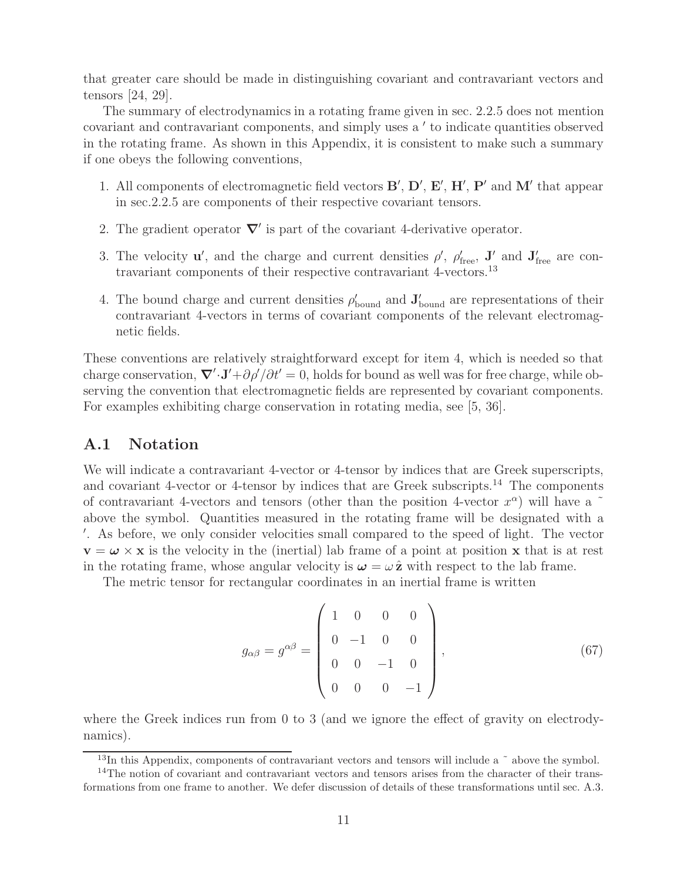that greater care should be made in distinguishing covariant and contravariant vectors and tensors [24, 29].

The summary of electrodynamics in a rotating frame given in sec. 2.2.5 does not mention covariant and contravariant components, and simply uses a ' to indicate quantities observed in the rotating frame. As shown in this Appendix, it is consistent to make such a summary if one obeys the following conventions,

- 1. All components of electromagnetic field vectors **B'**, **D'**, **E'**, **H'**, **P'** and **M'** that appear in sec.2.2.5 are components of their respective covariant tensors.
- 2. The gradient operator  $\nabla'$  is part of the covariant 4-derivative operator.
- 3. The velocity **u**', and the charge and current densities  $\rho'$ ,  $\rho'_{\text{free}}$ , **J'** and  $\mathbf{J}'_{\text{free}}$  are contravariant components of their respective contravariant 4-vectors.<sup>13</sup>
- 4. The bound charge and current densities  $\rho'_{\text{bound}}$  and  $\mathbf{J}'_{\text{bound}}$  are representations of their contravariant 4-vectors in terms of covariant components of the relevant electromagnetic fields.

These conventions are relatively straightforward except for item 4, which is needed so that charge conservation,  $\nabla' \cdot \mathbf{J'} + \frac{\partial \rho'}{\partial t'} = 0$ , holds for bound as well was for free charge, while observing the convention that electromagnetic fields are represented by covariant components. For examples exhibiting charge conservation in rotating media, see [5, 36].

### **A.1 Notation**

We will indicate a contravariant 4-vector or 4-tensor by indices that are Greek superscripts, and covariant 4-vector or 4-tensor by indices that are Greek subscripts.<sup>14</sup> The components of contravariant 4-vectors and tensors (other than the position 4-vector  $x^{\alpha}$ ) will have a  $\tilde{ }$ above the symbol. Quantities measured in the rotating frame will be designated with a - . As before, we only consider velocities small compared to the speed of light. The vector  $\mathbf{v} = \boldsymbol{\omega} \times \mathbf{x}$  is the velocity in the (inertial) lab frame of a point at position **x** that is at rest in the rotating frame, whose angular velocity is  $\omega = \omega \hat{z}$  with respect to the lab frame.

The metric tensor for rectangular coordinates in an inertial frame is written

$$
g_{\alpha\beta} = g^{\alpha\beta} = \begin{pmatrix} 1 & 0 & 0 & 0 \\ 0 & -1 & 0 & 0 \\ 0 & 0 & -1 & 0 \\ 0 & 0 & 0 & -1 \end{pmatrix}, \tag{67}
$$

where the Greek indices run from 0 to 3 (and we ignore the effect of gravity on electrodynamics).

 $13$ In this Appendix, components of contravariant vectors and tensors will include a  $\tilde{ }$  above the symbol.

<sup>&</sup>lt;sup>14</sup>The notion of covariant and contravariant vectors and tensors arises from the character of their transformations from one frame to another. We defer discussion of details of these transformations until sec. A.3.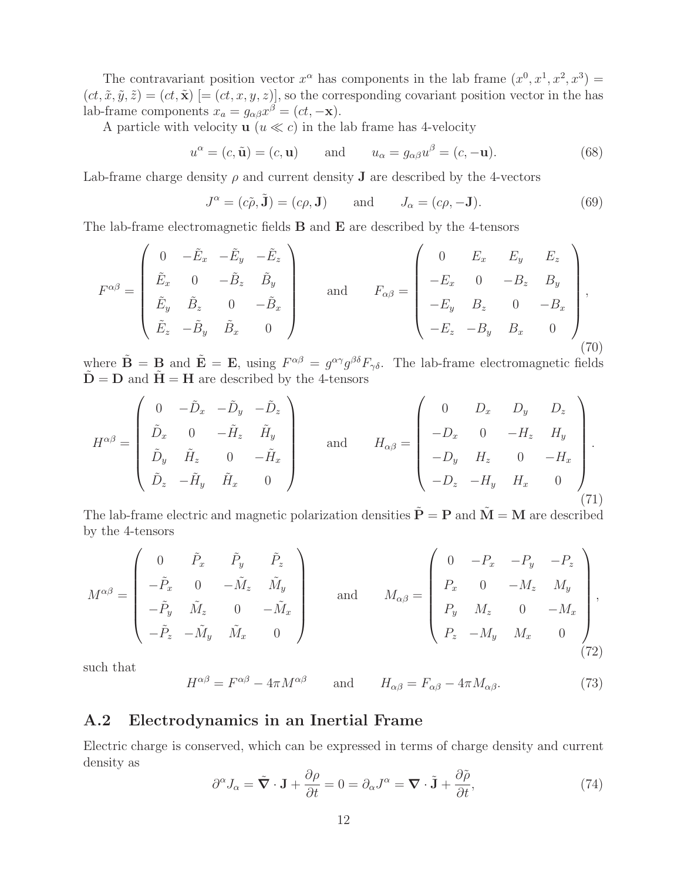The contravariant position vector  $x^{\alpha}$  has components in the lab frame  $(x^{0}, x^{1}, x^{2}, x^{3}) =$  $(ct, \tilde{x}, \tilde{y}, \tilde{z}) = (ct, \tilde{x})$  [=  $(ct, x, y, z)$ ], so the corresponding covariant position vector in the has lab-frame components  $x_a = g_{\alpha\beta}x^{\beta} = (ct, -\mathbf{x}).$ 

A particle with velocity  $\mathbf{u}$  ( $u \ll c$ ) in the lab frame has 4-velocity

$$
u^{\alpha} = (c, \tilde{\mathbf{u}}) = (c, \mathbf{u}) \quad \text{and} \quad u_{\alpha} = g_{\alpha\beta}u^{\beta} = (c, -\mathbf{u}). \tag{68}
$$

Lab-frame charge density  $\rho$  and current density **J** are described by the 4-vectors

$$
J^{\alpha} = (c\tilde{\rho}, \tilde{\mathbf{J}}) = (c\rho, \mathbf{J}) \quad \text{and} \quad J_{\alpha} = (c\rho, -\mathbf{J}). \tag{69}
$$

The lab-frame electromagnetic fields **B** and **E** are described by the 4-tensors

$$
F^{\alpha\beta} = \begin{pmatrix} 0 & -\tilde{E}_x & -\tilde{E}_y & -\tilde{E}_z \\ \tilde{E}_x & 0 & -\tilde{B}_z & \tilde{B}_y \\ \tilde{E}_y & \tilde{B}_z & 0 & -\tilde{B}_x \\ \tilde{E}_z & -\tilde{B}_y & \tilde{B}_x & 0 \end{pmatrix} \quad \text{and} \quad F_{\alpha\beta} = \begin{pmatrix} 0 & E_x & E_y & E_z \\ -E_x & 0 & -B_z & B_y \\ -E_y & B_z & 0 & -B_x \\ -E_z & -B_y & B_x & 0 \end{pmatrix},
$$
\n(70)

where  $\tilde{\mathbf{B}} = \mathbf{B}$  and  $\tilde{\mathbf{E}} = \mathbf{E}$ , using  $F^{\alpha\beta} = g^{\alpha\gamma}g^{\beta\delta}F_{\gamma\delta}$ . The lab-frame electromagnetic fields  $\tilde{\mathbf{D}} = \mathbf{D}$  and  $\tilde{\mathbf{H}} = \mathbf{H}$  are described by the 4-tensors

$$
H^{\alpha\beta} = \begin{pmatrix} 0 & -\tilde{D}_x & -\tilde{D}_y & -\tilde{D}_z \\ \tilde{D}_x & 0 & -\tilde{H}_z & \tilde{H}_y \\ \tilde{D}_y & \tilde{H}_z & 0 & -\tilde{H}_x \\ \tilde{D}_z & -\tilde{H}_y & \tilde{H}_x & 0 \end{pmatrix} \quad \text{and} \quad H_{\alpha\beta} = \begin{pmatrix} 0 & D_x & D_y & D_z \\ -D_x & 0 & -H_z & H_y \\ -D_y & H_z & 0 & -H_x \\ -D_z & -H_y & H_x & 0 \end{pmatrix} . \tag{71}
$$

The lab-frame electric and magnetic polarization densities  $\tilde{\mathbf{P}} = \mathbf{P}$  and  $\tilde{\mathbf{M}} = \mathbf{M}$  are described by the 4-tensors

$$
M^{\alpha\beta} = \begin{pmatrix} 0 & \tilde{P}_x & \tilde{P}_y & \tilde{P}_z \\ -\tilde{P}_x & 0 & -\tilde{M}_z & \tilde{M}_y \\ -\tilde{P}_y & \tilde{M}_z & 0 & -\tilde{M}_x \\ -\tilde{P}_z & -\tilde{M}_y & \tilde{M}_x & 0 \end{pmatrix} \quad \text{and} \quad M_{\alpha\beta} = \begin{pmatrix} 0 & -P_x & -P_y & -P_z \\ P_x & 0 & -M_z & M_y \\ P_y & M_z & 0 & -M_x \\ P_z & -M_y & M_x & 0 \end{pmatrix},
$$
\n(72)

such that

$$
H^{\alpha\beta} = F^{\alpha\beta} - 4\pi M^{\alpha\beta} \quad \text{and} \quad H_{\alpha\beta} = F_{\alpha\beta} - 4\pi M_{\alpha\beta}.
$$
 (73)

## **A.2 Electrodynamics in an Inertial Frame**

Electric charge is conserved, which can be expressed in terms of charge density and current density as

$$
\partial^{\alpha} J_{\alpha} = \tilde{\nabla} \cdot \mathbf{J} + \frac{\partial \rho}{\partial t} = 0 = \partial_{\alpha} J^{\alpha} = \nabla \cdot \tilde{\mathbf{J}} + \frac{\partial \tilde{\rho}}{\partial t},\tag{74}
$$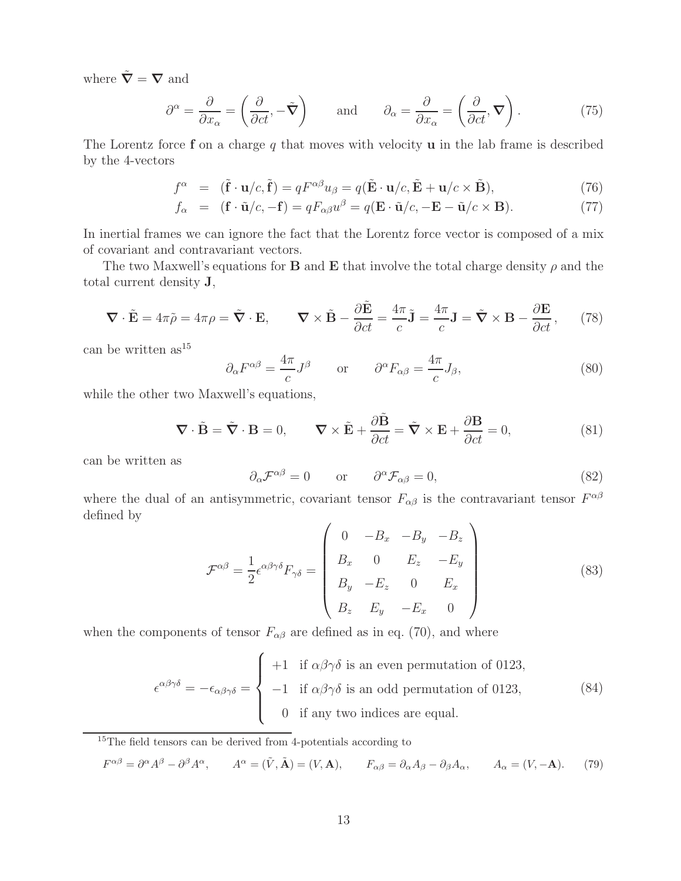where  $\tilde{\nabla} = \nabla$  and

$$
\partial^{\alpha} = \frac{\partial}{\partial x_{\alpha}} = \left(\frac{\partial}{\partial ct}, -\tilde{\mathbf{V}}\right) \quad \text{and} \quad \partial_{\alpha} = \frac{\partial}{\partial x_{\alpha}} = \left(\frac{\partial}{\partial ct}, \mathbf{\nabla}\right). \tag{75}
$$

The Lorentz force **f** on a charge q that moves with velocity **u** in the lab frame is described by the 4-vectors

$$
f^{\alpha} = (\tilde{\mathbf{f}} \cdot \mathbf{u}/c, \tilde{\mathbf{f}}) = qF^{\alpha\beta}u_{\beta} = q(\tilde{\mathbf{E}} \cdot \mathbf{u}/c, \tilde{\mathbf{E}} + \mathbf{u}/c \times \tilde{\mathbf{B}}),
$$
\n(76)

$$
f_{\alpha} = (\mathbf{f} \cdot \tilde{\mathbf{u}}/c, -\mathbf{f}) = qF_{\alpha\beta}u^{\beta} = q(\mathbf{E} \cdot \tilde{\mathbf{u}}/c, -\mathbf{E} - \tilde{\mathbf{u}}/c \times \mathbf{B}).
$$
 (77)

In inertial frames we can ignore the fact that the Lorentz force vector is composed of a mix of covariant and contravariant vectors.

The two Maxwell's equations for **B** and **E** that involve the total charge density  $\rho$  and the total current density **J**,

$$
\nabla \cdot \tilde{\mathbf{E}} = 4\pi \tilde{\rho} = 4\pi \rho = \tilde{\nabla} \cdot \mathbf{E}, \qquad \nabla \times \tilde{\mathbf{B}} - \frac{\partial \tilde{\mathbf{E}}}{\partial ct} = \frac{4\pi}{c} \tilde{\mathbf{J}} = \frac{4\pi}{c} \mathbf{J} = \tilde{\nabla} \times \mathbf{B} - \frac{\partial \mathbf{E}}{\partial ct}, \qquad (78)
$$

can be written  $as^{15}$ 

$$
\partial_{\alpha} F^{\alpha\beta} = \frac{4\pi}{c} J^{\beta} \qquad \text{or} \qquad \partial^{\alpha} F_{\alpha\beta} = \frac{4\pi}{c} J_{\beta}, \tag{80}
$$

while the other two Maxwell's equations,

$$
\nabla \cdot \tilde{\mathbf{B}} = \tilde{\nabla} \cdot \mathbf{B} = 0, \qquad \nabla \times \tilde{\mathbf{E}} + \frac{\partial \tilde{\mathbf{B}}}{\partial ct} = \tilde{\nabla} \times \mathbf{E} + \frac{\partial \mathbf{B}}{\partial ct} = 0,
$$
 (81)

can be written as

$$
\partial_{\alpha} \mathcal{F}^{\alpha\beta} = 0 \qquad \text{or} \qquad \partial^{\alpha} \mathcal{F}_{\alpha\beta} = 0, \tag{82}
$$

where the dual of an antisymmetric, covariant tensor  $F_{\alpha\beta}$  is the contravariant tensor  $F^{\alpha\beta}$ defined by

$$
\mathcal{F}^{\alpha\beta} = \frac{1}{2} \epsilon^{\alpha\beta\gamma\delta} F_{\gamma\delta} = \begin{pmatrix} 0 & -B_x & -B_y & -B_z \\ B_x & 0 & E_z & -E_y \\ B_y & -E_z & 0 & E_x \\ B_z & E_y & -E_x & 0 \end{pmatrix}
$$
(83)

when the components of tensor  $F_{\alpha\beta}$  are defined as in eq. (70), and where

$$
\epsilon^{\alpha\beta\gamma\delta} = -\epsilon_{\alpha\beta\gamma\delta} = \begin{cases}\n+1 & \text{if } \alpha\beta\gamma\delta \text{ is an even permutation of 0123,} \\
-1 & \text{if } \alpha\beta\gamma\delta \text{ is an odd permutation of 0123,} \\
0 & \text{if any two indices are equal.} \n\end{cases}
$$
\n(84)

<sup>15</sup>The field tensors can be derived from 4-potentials according to

$$
F^{\alpha\beta} = \partial^{\alpha}A^{\beta} - \partial^{\beta}A^{\alpha}, \qquad A^{\alpha} = (\tilde{V}, \tilde{A}) = (V, A), \qquad F_{\alpha\beta} = \partial_{\alpha}A_{\beta} - \partial_{\beta}A_{\alpha}, \qquad A_{\alpha} = (V, -A). \tag{79}
$$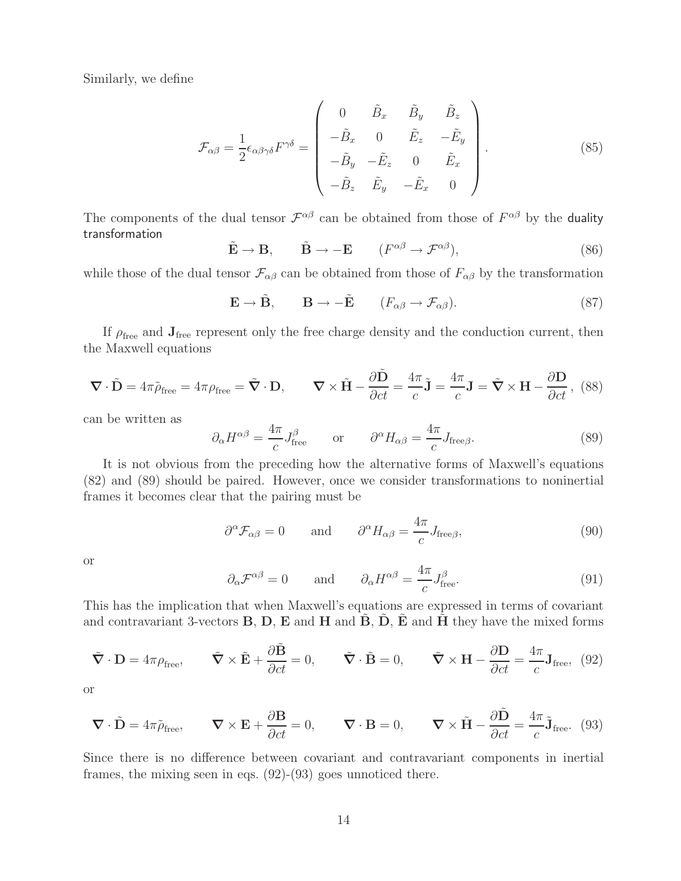Similarly, we define

$$
\mathcal{F}_{\alpha\beta} = \frac{1}{2} \epsilon_{\alpha\beta\gamma\delta} F^{\gamma\delta} = \begin{pmatrix} 0 & \tilde{B}_x & \tilde{B}_y & \tilde{B}_z \\ -\tilde{B}_x & 0 & \tilde{E}_z & -\tilde{E}_y \\ -\tilde{B}_y & -\tilde{E}_z & 0 & \tilde{E}_x \\ -\tilde{B}_z & \tilde{E}_y & -\tilde{E}_x & 0 \end{pmatrix} .
$$
\n(85)

The components of the dual tensor  $\mathcal{F}^{\alpha\beta}$  can be obtained from those of  $F^{\alpha\beta}$  by the duality transformation

$$
\tilde{\mathbf{E}} \to \mathbf{B}, \qquad \tilde{\mathbf{B}} \to -\mathbf{E} \qquad (F^{\alpha\beta} \to \mathcal{F}^{\alpha\beta}), \tag{86}
$$

while those of the dual tensor  $\mathcal{F}_{\alpha\beta}$  can be obtained from those of  $F_{\alpha\beta}$  by the transformation

$$
\mathbf{E} \to \tilde{\mathbf{B}}, \qquad \mathbf{B} \to -\tilde{\mathbf{E}} \qquad (F_{\alpha\beta} \to \mathcal{F}_{\alpha\beta}). \tag{87}
$$

If  $\rho_{\text{free}}$  and  $\mathbf{J}_{\text{free}}$  represent only the free charge density and the conduction current, then the Maxwell equations

$$
\nabla \cdot \tilde{\mathbf{D}} = 4\pi \tilde{\rho}_{\text{free}} = 4\pi \rho_{\text{free}} = \tilde{\nabla} \cdot \mathbf{D}, \qquad \nabla \times \tilde{\mathbf{H}} - \frac{\partial \tilde{\mathbf{D}}}{\partial ct} = \frac{4\pi}{c} \tilde{\mathbf{J}} = \frac{4\pi}{c} \mathbf{J} = \tilde{\nabla} \times \mathbf{H} - \frac{\partial \mathbf{D}}{\partial ct}, \tag{88}
$$

can be written as

$$
\partial_{\alpha}H^{\alpha\beta} = \frac{4\pi}{c}J_{\text{free}}^{\beta} \qquad \text{or} \qquad \partial^{\alpha}H_{\alpha\beta} = \frac{4\pi}{c}J_{\text{free}\beta}.
$$
 (89)

It is not obvious from the preceding how the alternative forms of Maxwell's equations (82) and (89) should be paired. However, once we consider transformations to noninertial frames it becomes clear that the pairing must be

$$
\partial^{\alpha} \mathcal{F}_{\alpha\beta} = 0
$$
 and  $\partial^{\alpha} H_{\alpha\beta} = \frac{4\pi}{c} J_{\text{free}\beta},$  (90)

or

$$
\partial_{\alpha} \mathcal{F}^{\alpha\beta} = 0
$$
 and  $\partial_{\alpha} H^{\alpha\beta} = \frac{4\pi}{c} J_{\text{free}}^{\beta}.$  (91)

This has the implication that when Maxwell's equations are expressed in terms of covariant and contravariant 3-vectors  $\mathbf{B}$ ,  $\mathbf{D}$ ,  $\mathbf{E}$  and  $\mathbf{H}$  and  $\mathbf{B}$ ,  $\mathbf{D}$ ,  $\mathbf{E}$  and  $\mathbf{H}$  they have the mixed forms

$$
\tilde{\nabla} \cdot \mathbf{D} = 4\pi \rho_{\text{free}}, \qquad \tilde{\nabla} \times \tilde{\mathbf{E}} + \frac{\partial \tilde{\mathbf{B}}}{\partial ct} = 0, \qquad \tilde{\nabla} \cdot \tilde{\mathbf{B}} = 0, \qquad \tilde{\nabla} \times \mathbf{H} - \frac{\partial \mathbf{D}}{\partial ct} = \frac{4\pi}{c} \mathbf{J}_{\text{free}}, \tag{92}
$$

or

$$
\nabla \cdot \tilde{\mathbf{D}} = 4\pi \tilde{\rho}_{\text{free}}, \qquad \nabla \times \mathbf{E} + \frac{\partial \mathbf{B}}{\partial ct} = 0, \qquad \nabla \cdot \mathbf{B} = 0, \qquad \nabla \times \tilde{\mathbf{H}} - \frac{\partial \tilde{\mathbf{D}}}{\partial ct} = \frac{4\pi}{c} \tilde{\mathbf{J}}_{\text{free}} \tag{93}
$$

Since there is no difference between covariant and contravariant components in inertial frames, the mixing seen in eqs. (92)-(93) goes unnoticed there.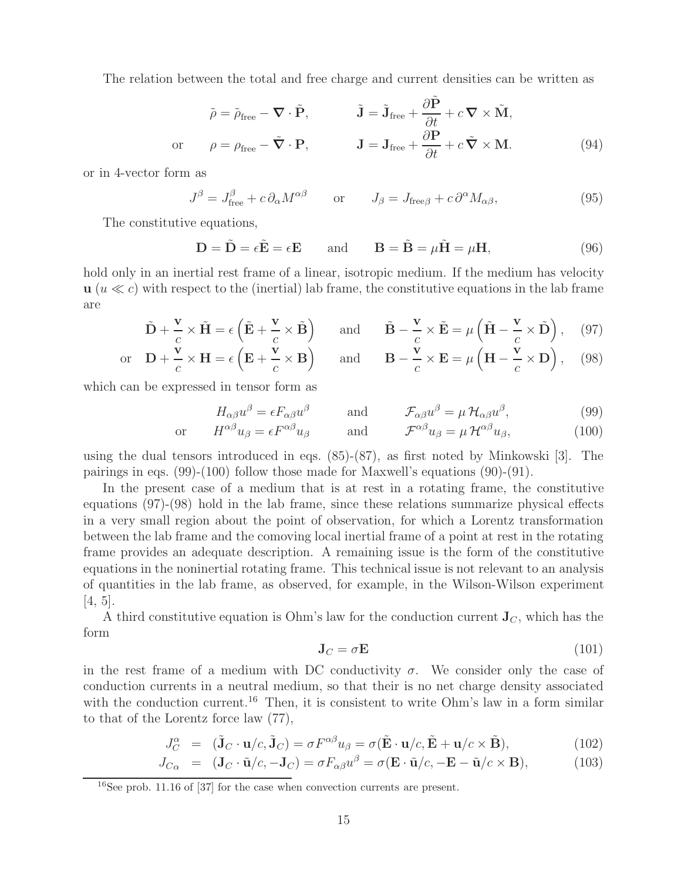The relation between the total and free charge and current densities can be written as

$$
\tilde{\rho} = \tilde{\rho}_{\text{free}} - \nabla \cdot \tilde{\mathbf{P}}, \qquad \tilde{\mathbf{J}} = \tilde{\mathbf{J}}_{\text{free}} + \frac{\partial \tilde{\mathbf{P}}}{\partial t} + c \nabla \times \tilde{\mathbf{M}},
$$
  
or 
$$
\rho = \rho_{\text{free}} - \tilde{\nabla} \cdot \mathbf{P}, \qquad \mathbf{J} = \mathbf{J}_{\text{free}} + \frac{\partial \mathbf{P}}{\partial t} + c \tilde{\nabla} \times \mathbf{M}.
$$
 (94)

or in 4-vector form as

$$
J^{\beta} = J_{\text{free}}^{\beta} + c \, \partial_{\alpha} M^{\alpha \beta} \qquad \text{or} \qquad J_{\beta} = J_{\text{free}, \beta} + c \, \partial^{\alpha} M_{\alpha \beta}, \tag{95}
$$

The constitutive equations,

$$
\mathbf{D} = \tilde{\mathbf{D}} = \epsilon \tilde{\mathbf{E}} = \epsilon \mathbf{E} \quad \text{and} \quad \mathbf{B} = \tilde{\mathbf{B}} = \mu \tilde{\mathbf{H}} = \mu \mathbf{H}, \tag{96}
$$

hold only in an inertial rest frame of a linear, isotropic medium. If the medium has velocity  $\mathbf{u}$  ( $u \ll c$ ) with respect to the (inertial) lab frame, the constitutive equations in the lab frame are

$$
\tilde{\mathbf{D}} + \frac{\mathbf{v}}{c} \times \tilde{\mathbf{H}} = \epsilon \left( \tilde{\mathbf{E}} + \frac{\mathbf{v}}{c} \times \tilde{\mathbf{B}} \right) \quad \text{and} \quad \tilde{\mathbf{B}} - \frac{\mathbf{v}}{c} \times \tilde{\mathbf{E}} = \mu \left( \tilde{\mathbf{H}} - \frac{\mathbf{v}}{c} \times \tilde{\mathbf{D}} \right), \quad (97)
$$
\n
$$
\text{or} \quad \mathbf{D} + \frac{\mathbf{v}}{c} \times \mathbf{H} = \epsilon \left( \mathbf{E} + \frac{\mathbf{v}}{c} \times \mathbf{B} \right) \quad \text{and} \quad \mathbf{B} - \frac{\mathbf{v}}{c} \times \mathbf{E} = \mu \left( \mathbf{H} - \frac{\mathbf{v}}{c} \times \mathbf{D} \right), \quad (98)
$$

and 
$$
\mathbf{B} - \frac{\mathbf{v}}{c} \times \mathbf{E} = \mu \left( \mathbf{H} - \frac{\mathbf{v}}{c} \times \mathbf{D} \right),
$$
 (98)

which can be expressed in tensor form as

$$
H_{\alpha\beta}u^{\beta} = \epsilon F_{\alpha\beta}u^{\beta} \quad \text{and} \quad \mathcal{F}_{\alpha\beta}u^{\beta} = \mu \mathcal{H}_{\alpha\beta}u^{\beta}, \tag{99}
$$
  
or 
$$
H^{\alpha\beta}u_{\beta} = \epsilon F^{\alpha\beta}u_{\beta} \quad \text{and} \quad \mathcal{F}^{\alpha\beta}u_{\beta} = \mu \mathcal{H}^{\alpha\beta}u_{\beta}, \tag{100}
$$

using the dual tensors introduced in eqs. (85)-(87), as first noted by Minkowski [3]. The pairings in eqs. (99)-(100) follow those made for Maxwell's equations (90)-(91).

In the present case of a medium that is at rest in a rotating frame, the constitutive equations (97)-(98) hold in the lab frame, since these relations summarize physical effects in a very small region about the point of observation, for which a Lorentz transformation between the lab frame and the comoving local inertial frame of a point at rest in the rotating frame provides an adequate description. A remaining issue is the form of the constitutive equations in the noninertial rotating frame. This technical issue is not relevant to an analysis of quantities in the lab frame, as observed, for example, in the Wilson-Wilson experiment  $[4, 5]$ .

A third constitutive equation is Ohm's law for the conduction current  $J_C$ , which has the form

$$
\mathbf{J}_C = \sigma \mathbf{E} \tag{101}
$$

in the rest frame of a medium with DC conductivity  $\sigma$ . We consider only the case of conduction currents in a neutral medium, so that their is no net charge density associated with the conduction current.<sup>16</sup> Then, it is consistent to write Ohm's law in a form similar to that of the Lorentz force law (77),

$$
J_C^{\alpha} = (\tilde{\mathbf{J}}_C \cdot \mathbf{u}/c, \tilde{\mathbf{J}}_C) = \sigma F^{\alpha\beta} u_{\beta} = \sigma (\tilde{\mathbf{E}} \cdot \mathbf{u}/c, \tilde{\mathbf{E}} + \mathbf{u}/c \times \tilde{\mathbf{B}}), \tag{102}
$$

$$
J_{C_{\alpha}} = (\mathbf{J}_C \cdot \tilde{\mathbf{u}}/c, -\mathbf{J}_C) = \sigma F_{\alpha\beta} u^{\beta} = \sigma (\mathbf{E} \cdot \tilde{\mathbf{u}}/c, -\mathbf{E} - \tilde{\mathbf{u}}/c \times \mathbf{B}),
$$
(103)

<sup>16</sup>See prob. 11.16 of [37] for the case when convection currents are present.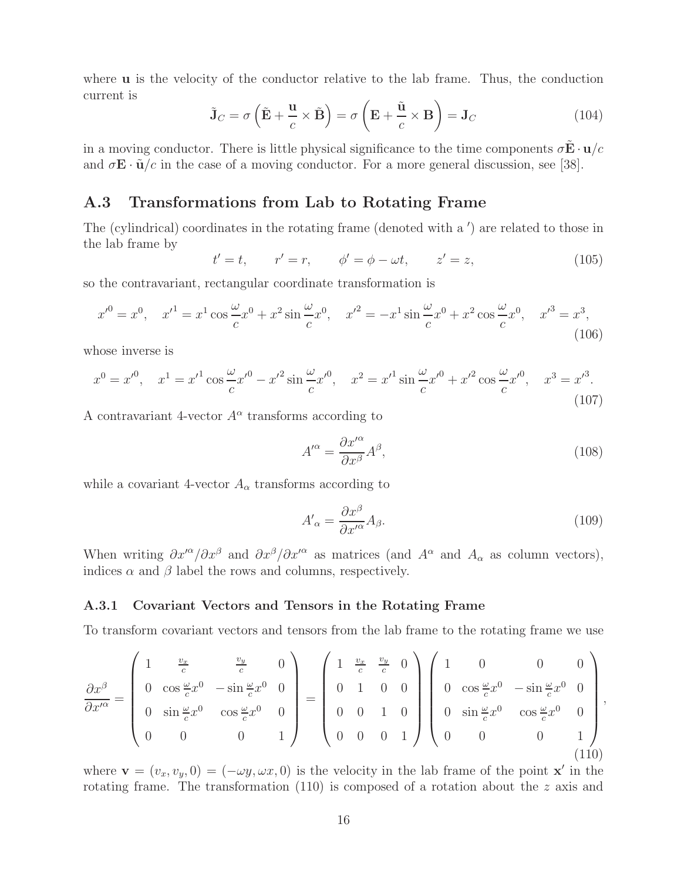where **u** is the velocity of the conductor relative to the lab frame. Thus, the conduction current is

$$
\tilde{\mathbf{J}}_C = \sigma \left( \tilde{\mathbf{E}} + \frac{\mathbf{u}}{c} \times \tilde{\mathbf{B}} \right) = \sigma \left( \mathbf{E} + \frac{\tilde{\mathbf{u}}}{c} \times \mathbf{B} \right) = \mathbf{J}_C \tag{104}
$$

in a moving conductor. There is little physical significance to the time components  $\sigma \mathbf{E} \cdot \mathbf{u}/c$ and  $\sigma \mathbf{E} \cdot \tilde{\mathbf{u}}/c$  in the case of a moving conductor. For a more general discussion, see [38].

## **A.3 Transformations from Lab to Rotating Frame**

The (cylindrical) coordinates in the rotating frame (denoted with a ') are related to those in the lab frame by

$$
t' = t
$$
,  $r' = r$ ,  $\phi' = \phi - \omega t$ ,  $z' = z$ , (105)

so the contravariant, rectangular coordinate transformation is

$$
x'^0 = x^0, \quad x'^1 = x^1 \cos{\frac{\omega}{c}} x^0 + x^2 \sin{\frac{\omega}{c}} x^0, \quad x'^2 = -x^1 \sin{\frac{\omega}{c}} x^0 + x^2 \cos{\frac{\omega}{c}} x^0, \quad x'^3 = x^3,
$$
\n(106)

whose inverse is

$$
x^{0} = x'^{0}, \quad x^{1} = x'^{1} \cos \frac{\omega}{c} x'^{0} - x'^{2} \sin \frac{\omega}{c} x'^{0}, \quad x^{2} = x'^{1} \sin \frac{\omega}{c} x'^{0} + x'^{2} \cos \frac{\omega}{c} x'^{0}, \quad x^{3} = x'^{3}.
$$
\n(107)

A contravariant 4-vector  $A^{\alpha}$  transforms according to

$$
A^{\prime \alpha} = \frac{\partial x^{\prime \alpha}}{\partial x^{\beta}} A^{\beta},\tag{108}
$$

while a covariant 4-vector  $A_{\alpha}$  transforms according to

$$
A'_{\alpha} = \frac{\partial x^{\beta}}{\partial x'^{\alpha}} A_{\beta}.
$$
\n(109)

When writing  $\partial x^{\alpha}/\partial x^{\beta}$  and  $\partial x^{\beta}/\partial x^{\alpha}$  as matrices (and  $A^{\alpha}$  and  $A_{\alpha}$  as column vectors), indices  $\alpha$  and  $\beta$  label the rows and columns, respectively.

#### **A.3.1 Covariant Vectors and Tensors in the Rotating Frame**

To transform covariant vectors and tensors from the lab frame to the rotating frame we use

$$
\frac{\partial x^{\beta}}{\partial x^{\prime \alpha}} = \begin{pmatrix} 1 & \frac{v_x}{c} & \frac{v_y}{c} & 0 \\ 0 & \cos \frac{\omega}{c} x^{0} & -\sin \frac{\omega}{c} x^{0} & 0 \\ 0 & \sin \frac{\omega}{c} x^{0} & \cos \frac{\omega}{c} x^{0} & 0 \\ 0 & 0 & 0 & 1 \end{pmatrix} = \begin{pmatrix} 1 & \frac{v_x}{c} & \frac{v_y}{c} & 0 \\ 0 & 1 & 0 & 0 \\ 0 & 0 & 1 & 0 \\ 0 & 0 & 0 & 1 \end{pmatrix} \begin{pmatrix} 1 & 0 & 0 & 0 \\ 0 & \cos \frac{\omega}{c} x^{0} & -\sin \frac{\omega}{c} x^{0} & 0 \\ 0 & \sin \frac{\omega}{c} x^{0} & \cos \frac{\omega}{c} x^{0} & 0 \\ 0 & 0 & 0 & 1 \end{pmatrix},
$$
\n(110)

where  $\mathbf{v} = (v_x, v_y, 0) = (-\omega y, \omega x, 0)$  is the velocity in the lab frame of the point **x**<sup>'</sup> in the rotating frame. The transformation (110) is composed of a rotation about the z axis and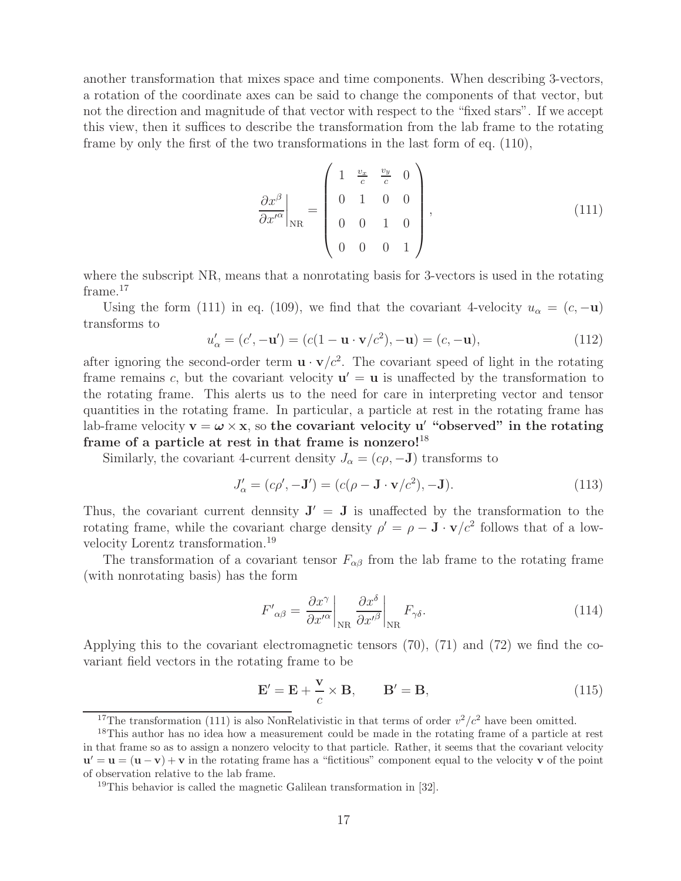another transformation that mixes space and time components. When describing 3-vectors, a rotation of the coordinate axes can be said to change the components of that vector, but not the direction and magnitude of that vector with respect to the "fixed stars". If we accept this view, then it suffices to describe the transformation from the lab frame to the rotating frame by only the first of the two transformations in the last form of eq. (110),

$$
\left. \frac{\partial x^{\beta}}{\partial x^{\prime \alpha}} \right|_{\rm NR} = \begin{pmatrix} 1 & \frac{v_x}{c} & \frac{v_y}{c} & 0 \\ 0 & 1 & 0 & 0 \\ 0 & 0 & 1 & 0 \\ 0 & 0 & 0 & 1 \end{pmatrix}, \tag{111}
$$

where the subscript NR, means that a nonrotating basis for 3-vectors is used in the rotating frame.<sup>17</sup>

Using the form (111) in eq. (109), we find that the covariant 4-velocity  $u_{\alpha} = (c, -\mathbf{u})$ transforms to

$$
u'_{\alpha} = (c', -\mathbf{u}') = (c(1 - \mathbf{u} \cdot \mathbf{v}/c^2), -\mathbf{u}) = (c, -\mathbf{u}),
$$
\n(112)

after ignoring the second-order term  $\mathbf{u} \cdot \mathbf{v}/c^2$ . The covariant speed of light in the rotating frame remains c, but the covariant velocity  $\mathbf{u}' = \mathbf{u}$  is unaffected by the transformation to the rotating frame. This alerts us to the need for care in interpreting vector and tensor quantities in the rotating frame. In particular, a particle at rest in the rotating frame has lab-frame velocity  $\mathbf{v} = \boldsymbol{\omega} \times \mathbf{x}$ , so the covariant velocity u' "observed" in the rotating **frame of a particle at rest in that frame is nonzero!**<sup>18</sup>

Similarly, the covariant 4-current density  $J_{\alpha} = (c\rho, -J)$  transforms to

$$
J'_{\alpha} = (c\rho', -\mathbf{J}') = (c(\rho - \mathbf{J} \cdot \mathbf{v}/c^2), -\mathbf{J}).
$$
\n(113)

Thus, the covariant current dennsity  $J' = J$  is unaffected by the transformation to the rotating frame, while the covariant charge density  $\rho' = \rho - \mathbf{J} \cdot \mathbf{v}/c^2$  follows that of a lowvelocity Lorentz transformation.<sup>19</sup>

The transformation of a covariant tensor  $F_{\alpha\beta}$  from the lab frame to the rotating frame (with nonrotating basis) has the form

$$
F'_{\alpha\beta} = \frac{\partial x^{\gamma}}{\partial x'^{\alpha}} \bigg|_{\text{NR}} \frac{\partial x^{\delta}}{\partial x'^{\beta}} \bigg|_{\text{NR}} F_{\gamma\delta}.
$$
 (114)

Applying this to the covariant electromagnetic tensors (70), (71) and (72) we find the covariant field vectors in the rotating frame to be

$$
\mathbf{E}' = \mathbf{E} + \frac{\mathbf{v}}{c} \times \mathbf{B}, \qquad \mathbf{B}' = \mathbf{B}, \tag{115}
$$

<sup>&</sup>lt;sup>17</sup>The transformation (111) is also NonRelativistic in that terms of order  $v^2/c^2$  have been omitted.

<sup>&</sup>lt;sup>18</sup>This author has no idea how a measurement could be made in the rotating frame of a particle at rest in that frame so as to assign a nonzero velocity to that particle. Rather, it seems that the covariant velocity  $\mathbf{u}' = \mathbf{u} = (\mathbf{u} - \mathbf{v}) + \mathbf{v}$  in the rotating frame has a "fictitious" component equal to the velocity **v** of the point of observation relative to the lab frame.

<sup>19</sup>This behavior is called the magnetic Galilean transformation in [32].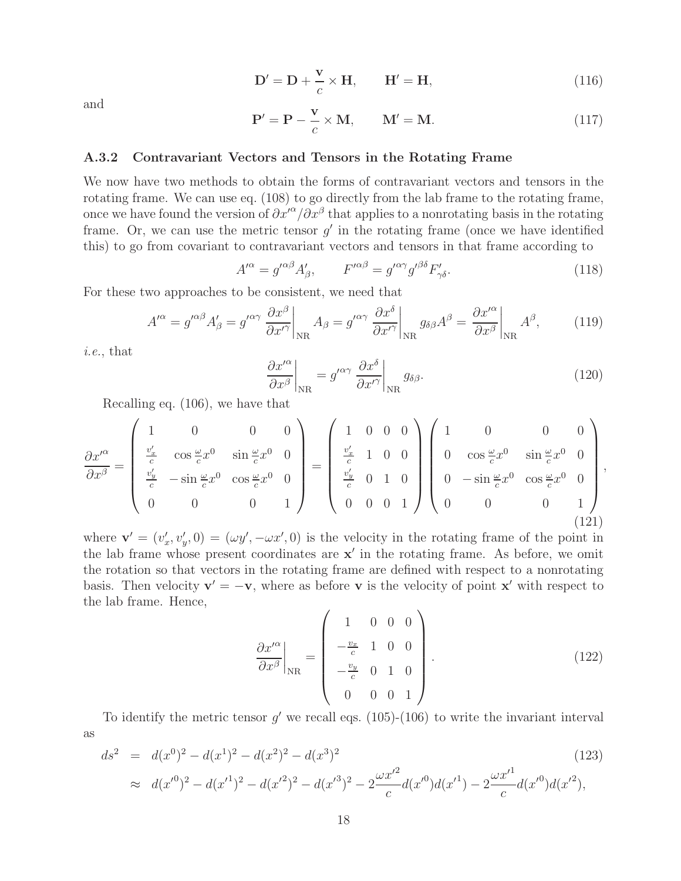$$
\mathbf{D}' = \mathbf{D} + \frac{\mathbf{v}}{c} \times \mathbf{H}, \qquad \mathbf{H}' = \mathbf{H}, \tag{116}
$$

and

$$
\mathbf{P}' = \mathbf{P} - \frac{\mathbf{v}}{c} \times \mathbf{M}, \qquad \mathbf{M}' = \mathbf{M}.
$$
 (117)

#### **A.3.2 Contravariant Vectors and Tensors in the Rotating Frame**

We now have two methods to obtain the forms of contravariant vectors and tensors in the rotating frame. We can use eq. (108) to go directly from the lab frame to the rotating frame, once we have found the version of  $\partial x^{\prime\alpha}/\partial x^\beta$  that applies to a nonrotating basis in the rotating frame. Or, we can use the metric tensor  $g'$  in the rotating frame (once we have identified this) to go from covariant to contravariant vectors and tensors in that frame according to

$$
A^{\prime \alpha} = g^{\prime \alpha \beta} A^{\prime}_{\beta}, \qquad F^{\prime \alpha \beta} = g^{\prime \alpha \gamma} g^{\prime \beta \delta} F^{\prime}_{\gamma \delta}. \tag{118}
$$

For these two approaches to be consistent, we need that

$$
A^{\prime \alpha} = g^{\prime \alpha \beta} A^{\prime}_{\beta} = g^{\prime \alpha \gamma} \left. \frac{\partial x^{\beta}}{\partial x^{\prime \gamma}} \right|_{\text{NR}} A_{\beta} = g^{\prime \alpha \gamma} \left. \frac{\partial x^{\delta}}{\partial x^{\prime \gamma}} \right|_{\text{NR}} g_{\delta \beta} A^{\beta} = \left. \frac{\partial x^{\prime \alpha}}{\partial x^{\beta}} \right|_{\text{NR}} A^{\beta},\tag{119}
$$

*i.e.*, that

$$
\left. \frac{\partial x^{\prime \alpha}}{\partial x^{\beta}} \right|_{\text{NR}} = g^{\prime \alpha \gamma} \left. \frac{\partial x^{\delta}}{\partial x^{\prime \gamma}} \right|_{\text{NR}} g_{\delta \beta}.
$$
\n(120)

Recalling eq. (106), we have that

$$
\frac{\partial x^{\prime \alpha}}{\partial x^{\beta}} = \begin{pmatrix} 1 & 0 & 0 & 0 \\ \frac{v_x^{\prime}}{c} & \cos \frac{\omega}{c} x^{0} & \sin \frac{\omega}{c} x^{0} & 0 \\ \frac{v_y^{\prime}}{c} & -\sin \frac{\omega}{c} x^{0} & \cos \frac{\omega}{c} x^{0} & 0 \\ 0 & 0 & 0 & 1 \end{pmatrix} = \begin{pmatrix} 1 & 0 & 0 & 0 \\ \frac{v_x^{\prime}}{c} & 1 & 0 & 0 \\ \frac{v_y^{\prime}}{c} & 0 & 1 & 0 \\ 0 & 0 & 0 & 1 \end{pmatrix} \begin{pmatrix} 1 & 0 & 0 & 0 \\ 0 & \cos \frac{\omega}{c} x^{0} & \sin \frac{\omega}{c} x^{0} & 0 \\ 0 & -\sin \frac{\omega}{c} x^{0} & \cos \frac{\omega}{c} x^{0} & 0 \\ 0 & 0 & 0 & 1 \end{pmatrix},
$$
\n(121)

where  $\mathbf{v}' = (v'_x, v'_y, 0) = (\omega y', -\omega x', 0)$  is the velocity in the rotating frame of the point in the lab frame whose present coordinates are  $x'$  in the rotating frame. As before, we omit the rotation so that vectors in the rotating frame are defined with respect to a nonrotating basis. Then velocity  $\mathbf{v}' = -\mathbf{v}$ , where as before **v** is the velocity of point **x**<sup>-</sup> with respect to the lab frame. Hence,

$$
\left. \frac{\partial x^{\prime \alpha}}{\partial x^{\beta}} \right|_{\text{NR}} = \begin{pmatrix} 1 & 0 & 0 & 0 \\ -\frac{v_x}{c} & 1 & 0 & 0 \\ -\frac{v_y}{c} & 0 & 1 & 0 \\ 0 & 0 & 0 & 1 \end{pmatrix} . \tag{122}
$$

To identify the metric tensor  $g'$  we recall eqs. (105)-(106) to write the invariant interval as

$$
ds^{2} = d(x^{0})^{2} - d(x^{1})^{2} - d(x^{2})^{2} - d(x^{3})^{2}
$$
\n
$$
\approx d(x'^{0})^{2} - d(x'^{1})^{2} - d(x'^{2})^{2} - d(x'^{3})^{2} - 2\frac{\omega x'^{2}}{c}d(x'^{0})d(x'^{1}) - 2\frac{\omega x'^{1}}{c}d(x'^{0})d(x'^{2}),
$$
\n(123)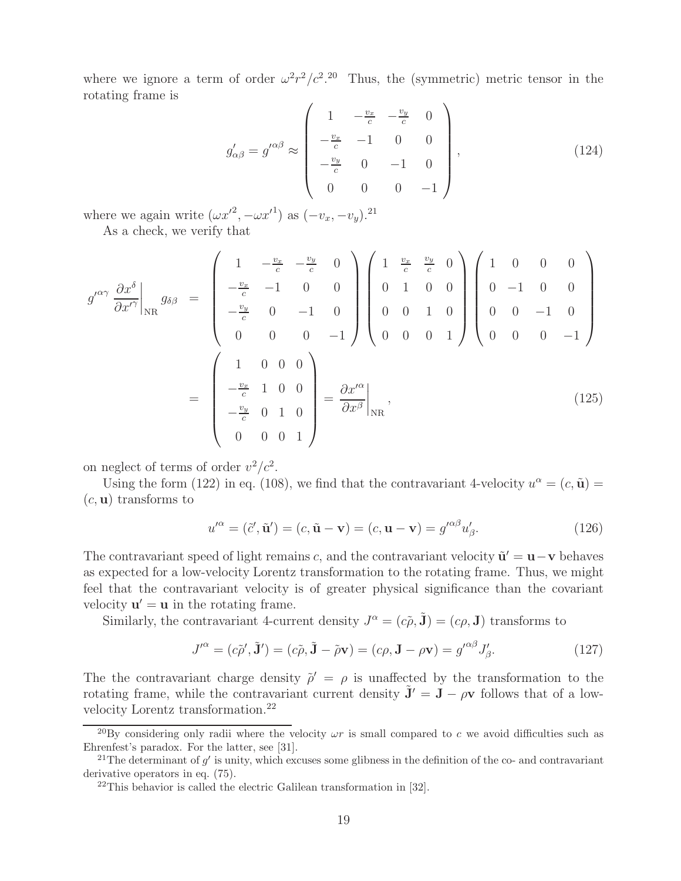where we ignore a term of order  $\omega^2 r^2/c^2$ .<sup>20</sup> Thus, the (symmetric) metric tensor in the rotating frame is

$$
g'_{\alpha\beta} = g'^{\alpha\beta} \approx \begin{pmatrix} 1 & -\frac{v_x}{c} & -\frac{v_y}{c} & 0 \\ -\frac{v_x}{c} & -1 & 0 & 0 \\ -\frac{v_y}{c} & 0 & -1 & 0 \\ 0 & 0 & 0 & -1 \end{pmatrix},
$$
(124)

where we again write  $(\omega x'^2, -\omega x'^1)$  as  $(-v_x, -v_y)$ .<sup>21</sup>

As a check, we verify that

$$
g^{\prime \alpha \gamma} \frac{\partial x^{\delta}}{\partial x^{\prime \gamma}} \Big|_{\text{NR}} g_{\delta \beta} = \begin{pmatrix} 1 & -\frac{v_x}{c} & -\frac{v_y}{c} & 0 \\ -\frac{v_x}{c} & -1 & 0 & 0 \\ -\frac{v_y}{c} & 0 & -1 & 0 \\ 0 & 0 & 0 & -1 \end{pmatrix} \begin{pmatrix} 1 & \frac{v_x}{c} & \frac{v_y}{c} & 0 \\ 0 & 1 & 0 & 0 \\ 0 & 0 & 1 & 0 \\ 0 & 0 & 0 & 1 \end{pmatrix} \begin{pmatrix} 1 & 0 & 0 & 0 \\ 0 & -1 & 0 & 0 \\ 0 & 0 & -1 & 0 \\ 0 & 0 & 0 & -1 \end{pmatrix}
$$

$$
= \begin{pmatrix} 1 & 0 & 0 & 0 \\ -\frac{v_x}{c} & 1 & 0 & 0 \\ -\frac{v_y}{c} & 0 & 1 & 0 \\ 0 & 0 & 0 & 1 \end{pmatrix} = \frac{\partial x^{\prime \alpha}}{\partial x^{\beta}} \Big|_{\text{NR}} , \qquad (125)
$$

on neglect of terms of order  $v^2/c^2$ .

Using the form (122) in eq. (108), we find that the contravariant 4-velocity  $u^{\alpha} = (c, \tilde{\mathbf{u}})$ (c, **u**) transforms to

$$
u^{\prime \alpha} = (\tilde{c}', \tilde{\mathbf{u}}') = (c, \tilde{\mathbf{u}} - \mathbf{v}) = (c, \mathbf{u} - \mathbf{v}) = g^{\prime \alpha \beta} u_{\beta}'. \tag{126}
$$

The contravariant speed of light remains c, and the contravariant velocity  $\tilde{\mathbf{u}}' = \mathbf{u} - \mathbf{v}$  behaves as expected for a low-velocity Lorentz transformation to the rotating frame. Thus, we might feel that the contravariant velocity is of greater physical significance than the covariant velocity  $\mathbf{u}' = \mathbf{u}$  in the rotating frame.

Similarly, the contravariant 4-current density  $J^{\alpha} = (c\tilde{\rho}, \tilde{\mathbf{J}}) = (c\rho, \mathbf{J})$  transforms to

$$
J^{\prime \alpha} = (c\tilde{\rho}', \tilde{\mathbf{J}}') = (c\tilde{\rho}, \tilde{\mathbf{J}} - \tilde{\rho}\mathbf{v}) = (c\rho, \mathbf{J} - \rho\mathbf{v}) = g^{\prime \alpha\beta} J_{\beta}'. \tag{127}
$$

The the contravariant charge density  $\tilde{\rho}' = \rho$  is unaffected by the transformation to the rotating frame, while the contravariant current density  $\tilde{\mathbf{J}}' = \mathbf{J} - \rho \mathbf{v}$  follows that of a lowvelocity Lorentz transformation.<sup>22</sup>

<sup>&</sup>lt;sup>20</sup>By considering only radii where the velocity  $\omega r$  is small compared to c we avoid difficulties such as Ehrenfest's paradox. For the latter, see [31].

<sup>&</sup>lt;sup>21</sup>The determinant of  $g'$  is unity, which excuses some glibness in the definition of the co- and contravariant derivative operators in eq. (75).

<sup>22</sup>This behavior is called the electric Galilean transformation in [32].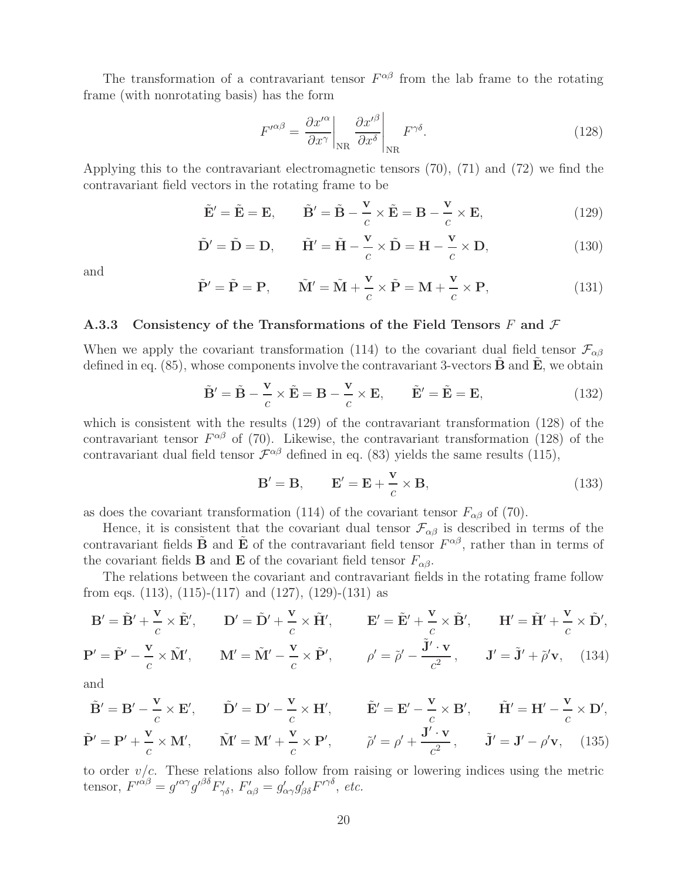The transformation of a contravariant tensor  $F^{\alpha\beta}$  from the lab frame to the rotating frame (with nonrotating basis) has the form

$$
F^{\prime \alpha \beta} = \frac{\partial x^{\prime \alpha}}{\partial x^{\gamma}} \bigg|_{\rm NR} \left. \frac{\partial x^{\prime \beta}}{\partial x^{\delta}} \right|_{\rm NR} F^{\gamma \delta}.
$$
 (128)

Applying this to the contravariant electromagnetic tensors (70), (71) and (72) we find the contravariant field vectors in the rotating frame to be

$$
\tilde{\mathbf{E}}' = \tilde{\mathbf{E}} = \mathbf{E}, \qquad \tilde{\mathbf{B}}' = \tilde{\mathbf{B}} - \frac{\mathbf{v}}{c} \times \tilde{\mathbf{E}} = \mathbf{B} - \frac{\mathbf{v}}{c} \times \mathbf{E}, \tag{129}
$$

$$
\tilde{\mathbf{D}}' = \tilde{\mathbf{D}} = \mathbf{D}, \qquad \tilde{\mathbf{H}}' = \tilde{\mathbf{H}} - \frac{\mathbf{v}}{c} \times \tilde{\mathbf{D}} = \mathbf{H} - \frac{\mathbf{v}}{c} \times \mathbf{D}, \tag{130}
$$

and

$$
\tilde{\mathbf{P}}' = \tilde{\mathbf{P}} = \mathbf{P}, \qquad \tilde{\mathbf{M}}' = \tilde{\mathbf{M}} + \frac{\mathbf{v}}{c} \times \tilde{\mathbf{P}} = \mathbf{M} + \frac{\mathbf{v}}{c} \times \mathbf{P}, \tag{131}
$$

#### **A.3.3 Consistency of the Transformations of the Field Tensors** F **and** F

When we apply the covariant transformation (114) to the covariant dual field tensor  $\mathcal{F}_{\alpha\beta}$ defined in eq.  $(85)$ , whose components involve the contravariant 3-vectors  $\bf{B}$  and  $\bf{E}$ , we obtain

$$
\tilde{\mathbf{B}}' = \tilde{\mathbf{B}} - \frac{\mathbf{v}}{c} \times \tilde{\mathbf{E}} = \mathbf{B} - \frac{\mathbf{v}}{c} \times \mathbf{E}, \qquad \tilde{\mathbf{E}}' = \tilde{\mathbf{E}} = \mathbf{E}, \tag{132}
$$

which is consistent with the results (129) of the contravariant transformation (128) of the contravariant tensor  $F^{\alpha\beta}$  of (70). Likewise, the contravariant transformation (128) of the contravariant dual field tensor  $\mathcal{F}^{\alpha\beta}$  defined in eq. (83) yields the same results (115),

$$
\mathbf{B}' = \mathbf{B}, \qquad \mathbf{E}' = \mathbf{E} + \frac{\mathbf{v}}{c} \times \mathbf{B}, \tag{133}
$$

as does the covariant transformation (114) of the covariant tensor  $F_{\alpha\beta}$  of (70).

Hence, it is consistent that the covariant dual tensor  $\mathcal{F}_{\alpha\beta}$  is described in terms of the contravariant fields  $\tilde{\mathbf{B}}$  and  $\tilde{\mathbf{E}}$  of the contravariant field tensor  $F^{\alpha\beta}$ , rather than in terms of the covariant fields **B** and **E** of the covariant field tensor  $F_{\alpha\beta}$ .

The relations between the covariant and contravariant fields in the rotating frame follow from eqs.  $(113)$ ,  $(115)-(117)$  and  $(127)$ ,  $(129)-(131)$  as

$$
\mathbf{B}' = \tilde{\mathbf{B}}' + \frac{\mathbf{v}}{c} \times \tilde{\mathbf{E}}', \qquad \mathbf{D}' = \tilde{\mathbf{D}}' + \frac{\mathbf{v}}{c} \times \tilde{\mathbf{H}}', \qquad \mathbf{E}' = \tilde{\mathbf{E}}' + \frac{\mathbf{v}}{c} \times \tilde{\mathbf{B}}', \qquad \mathbf{H}' = \tilde{\mathbf{H}}' + \frac{\mathbf{v}}{c} \times \tilde{\mathbf{D}}',
$$
  

$$
\mathbf{P}' = \tilde{\mathbf{P}}' - \frac{\mathbf{v}}{c} \times \tilde{\mathbf{M}}', \qquad \mathbf{M}' = \tilde{\mathbf{M}}' - \frac{\mathbf{v}}{c} \times \tilde{\mathbf{P}}', \qquad \rho' = \tilde{\rho}' - \frac{\tilde{\mathbf{J}}' \cdot \mathbf{v}}{c^2}, \qquad \mathbf{J}' = \tilde{\mathbf{J}}' + \tilde{\rho}' \mathbf{v}, \qquad (134)
$$

and

$$
\tilde{\mathbf{B}}' = \mathbf{B}' - \frac{\mathbf{v}}{c} \times \mathbf{E}', \qquad \tilde{\mathbf{D}}' = \mathbf{D}' - \frac{\mathbf{v}}{c} \times \mathbf{H}', \qquad \tilde{\mathbf{E}}' = \mathbf{E}' - \frac{\mathbf{v}}{c} \times \mathbf{B}', \qquad \tilde{\mathbf{H}}' = \mathbf{H}' - \frac{\mathbf{v}}{c} \times \mathbf{D}',
$$
\n
$$
\tilde{\mathbf{P}}' = \mathbf{P}' + \frac{\mathbf{v}}{c} \times \mathbf{M}', \qquad \tilde{\mathbf{M}}' = \mathbf{M}' + \frac{\mathbf{v}}{c} \times \mathbf{P}', \qquad \tilde{\rho}' = \rho' + \frac{\mathbf{J}' \cdot \mathbf{v}}{c^2}, \qquad \tilde{\mathbf{J}}' = \mathbf{J}' - \rho' \mathbf{v}, \qquad (135)
$$

to order  $v/c$ . These relations also follow from raising or lowering indices using the metric tensor,  $F^{\prime \alpha \beta} = g^{\prime \alpha \gamma} g^{\prime \beta \delta} F'_{\gamma \delta}$ ,  $F'_{\alpha \beta} = g'_{\alpha \gamma} g'_{\beta \delta} F^{\prime \gamma \delta}$ , etc.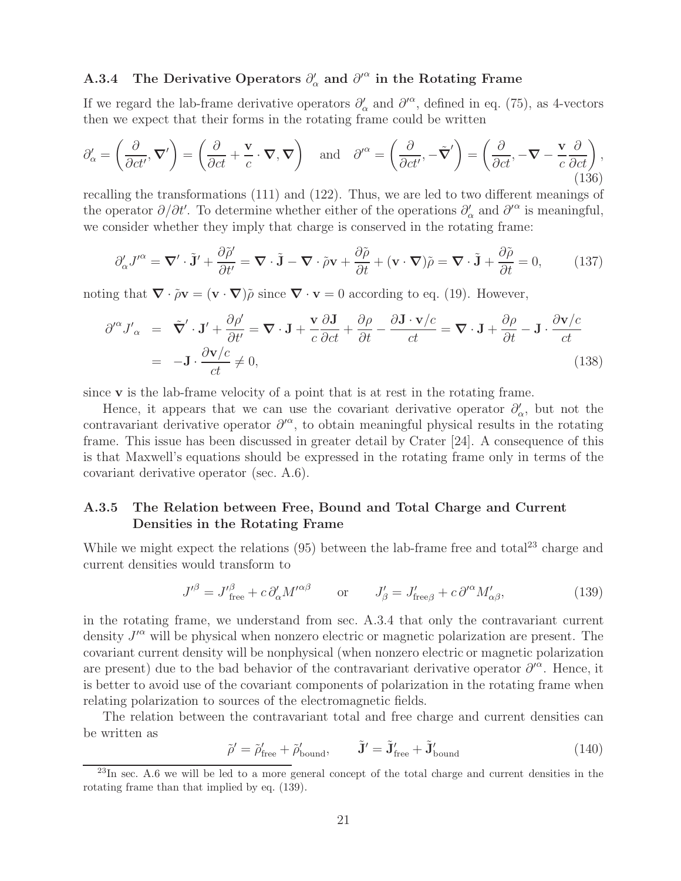# **A.3.4** The Derivative Operators  $\partial'_{\alpha}$  and  $\partial'^{\alpha}$  in the Rotating Frame

If we regard the lab-frame derivative operators  $\partial'_{\alpha}$  and  $\partial'^{\alpha}$ , defined in eq. (75), as 4-vectors then we expect that their forms in the rotating frame could be written

$$
\partial'_{\alpha} = \left(\frac{\partial}{\partial ct'}, \nabla'\right) = \left(\frac{\partial}{\partial ct} + \frac{\mathbf{v}}{c} \cdot \nabla, \nabla\right) \quad \text{and} \quad \partial'^{\alpha} = \left(\frac{\partial}{\partial ct'}, -\tilde{\nabla}'\right) = \left(\frac{\partial}{\partial ct}, -\nabla - \frac{\mathbf{v}}{c}\frac{\partial}{\partial ct}\right),\tag{136}
$$

recalling the transformations (111) and (122). Thus, we are led to two different meanings of the operator  $\partial/\partial t'$ . To determine whether either of the operations  $\partial'_{\alpha}$  and  $\partial'^{\alpha}$  is meaningful, we consider whether they imply that charge is conserved in the rotating frame:

$$
\partial'_{\alpha} J'^{\alpha} = \nabla' \cdot \tilde{\mathbf{J}}' + \frac{\partial \tilde{\rho}'}{\partial t'} = \nabla \cdot \tilde{\mathbf{J}} - \nabla \cdot \tilde{\rho} \mathbf{v} + \frac{\partial \tilde{\rho}}{\partial t} + (\mathbf{v} \cdot \nabla) \tilde{\rho} = \nabla \cdot \tilde{\mathbf{J}} + \frac{\partial \tilde{\rho}}{\partial t} = 0,
$$
 (137)

noting that  $\nabla \cdot \tilde{\rho} \mathbf{v} = (\mathbf{v} \cdot \nabla) \tilde{\rho}$  since  $\nabla \cdot \mathbf{v} = 0$  according to eq. (19). However,

$$
\partial^{\prime \alpha} J'_{\alpha} = \tilde{\nabla}' \cdot \mathbf{J}' + \frac{\partial \rho'}{\partial t'} = \nabla \cdot \mathbf{J} + \frac{\mathbf{v}}{c} \frac{\partial \mathbf{J}}{\partial ct} + \frac{\partial \rho}{\partial t} - \frac{\partial \mathbf{J} \cdot \mathbf{v}/c}{ct} = \nabla \cdot \mathbf{J} + \frac{\partial \rho}{\partial t} - \mathbf{J} \cdot \frac{\partial \mathbf{v}/c}{ct}
$$
\n
$$
= -\mathbf{J} \cdot \frac{\partial \mathbf{v}/c}{ct} \neq 0,
$$
\n(138)

since **v** is the lab-frame velocity of a point that is at rest in the rotating frame.

Hence, it appears that we can use the covariant derivative operator  $\partial'_{\alpha}$ , but not the contravariant derivative operator  $\partial^{\alpha}$ , to obtain meaningful physical results in the rotating frame. This issue has been discussed in greater detail by Crater [24]. A consequence of this is that Maxwell's equations should be expressed in the rotating frame only in terms of the covariant derivative operator (sec. A.6).

### **A.3.5 The Relation between Free, Bound and Total Charge and Current Densities in the Rotating Frame**

While we might expect the relations  $(95)$  between the lab-frame free and total<sup>23</sup> charge and current densities would transform to

$$
J^{\prime \beta} = J^{\prime \beta}_{\text{free}} + c \, \partial_{\alpha}^{\prime} M^{\prime \alpha \beta} \qquad \text{or} \qquad J^{\prime}_{\beta} = J^{\prime}_{\text{free} \beta} + c \, \partial^{\prime \alpha} M^{\prime}_{\alpha \beta}, \tag{139}
$$

in the rotating frame, we understand from sec. A.3.4 that only the contravariant current density  $J^{\prime\alpha}$  will be physical when nonzero electric or magnetic polarization are present. The covariant current density will be nonphysical (when nonzero electric or magnetic polarization are present) due to the bad behavior of the contravariant derivative operator  $\partial^{\alpha}$ . Hence, it is better to avoid use of the covariant components of polarization in the rotating frame when relating polarization to sources of the electromagnetic fields.

The relation between the contravariant total and free charge and current densities can be written as

$$
\tilde{\rho}' = \tilde{\rho}'_{\text{free}} + \tilde{\rho}'_{\text{bound}}, \qquad \tilde{\mathbf{J}}' = \tilde{\mathbf{J}}'_{\text{free}} + \tilde{\mathbf{J}}'_{\text{bound}} \tag{140}
$$

 $^{23}$ In sec. A.6 we will be led to a more general concept of the total charge and current densities in the rotating frame than that implied by eq. (139).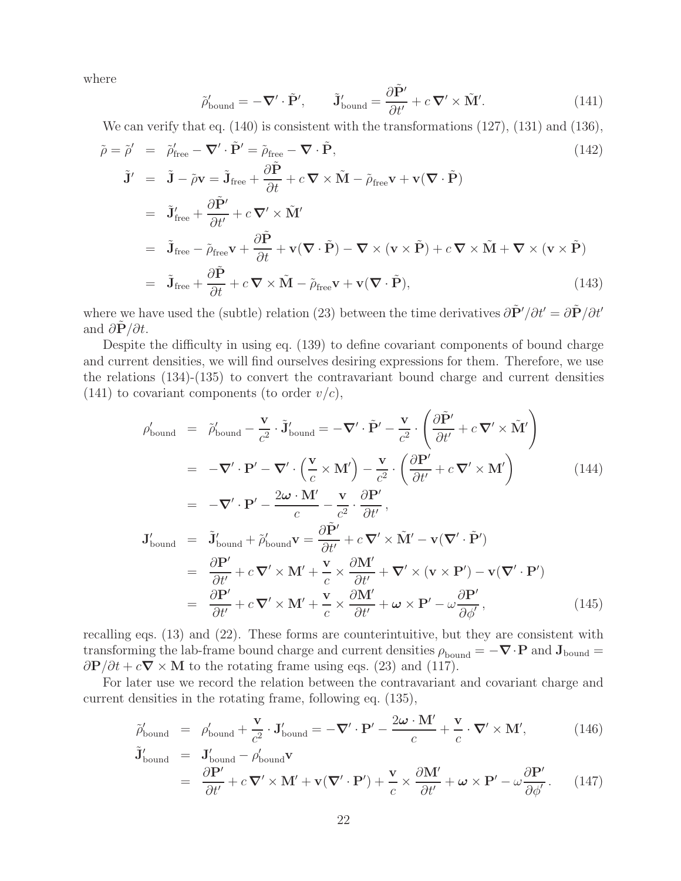where

$$
\tilde{\rho}'_{\text{bound}} = -\nabla' \cdot \tilde{\mathbf{P}}', \qquad \tilde{\mathbf{J}}'_{\text{bound}} = \frac{\partial \tilde{\mathbf{P}}'}{\partial t'} + c \, \nabla' \times \tilde{\mathbf{M}}'. \tag{141}
$$

We can verify that eq. (140) is consistent with the transformations (127), (131) and (136),

$$
\tilde{\rho} = \tilde{\rho}' = \tilde{\rho}'_{\text{free}} - \nabla' \cdot \tilde{P}' = \tilde{\rho}_{\text{free}} - \nabla \cdot \tilde{P},
$$
\n
$$
\tilde{J}' = \tilde{J} - \tilde{\rho} \mathbf{v} = \tilde{J}_{\text{free}} + \frac{\partial \tilde{P}}{\partial t} + c \nabla \times \tilde{M} - \tilde{\rho}_{\text{free}} \mathbf{v} + \mathbf{v} (\nabla \cdot \tilde{P})
$$
\n
$$
= \tilde{J}'_{\text{free}} + \frac{\partial \tilde{P}'}{\partial t'} + c \nabla' \times \tilde{M}'
$$
\n
$$
= \tilde{J}_{\text{free}} - \tilde{\rho}_{\text{free}} \mathbf{v} + \frac{\partial \tilde{P}}{\partial t} + \mathbf{v} (\nabla \cdot \tilde{P}) - \nabla \times (\mathbf{v} \times \tilde{P}) + c \nabla \times \tilde{M} + \nabla \times (\mathbf{v} \times \tilde{P})
$$
\n
$$
= \tilde{J}_{\text{free}} + \frac{\partial \tilde{P}}{\partial t} + c \nabla \times \tilde{M} - \tilde{\rho}_{\text{free}} \mathbf{v} + \mathbf{v} (\nabla \cdot \tilde{P}),
$$
\n(143)

where we have used the (subtle) relation (23) between the time derivatives  $\frac{\partial \tilde{P}'}{\partial t'} = \frac{\partial \tilde{P}}{\partial t'}$ and  $\partial \mathbf{P}/\partial t$ .

Despite the difficulty in using eq. (139) to define covariant components of bound charge and current densities, we will find ourselves desiring expressions for them. Therefore, we use the relations (134)-(135) to convert the contravariant bound charge and current densities  $(141)$  to covariant components (to order  $v/c$ ),

$$
\rho'_{\text{bound}} = \tilde{\rho}'_{\text{bound}} - \frac{\mathbf{v}}{c^2} \cdot \tilde{\mathbf{J}}'_{\text{bound}} = -\nabla' \cdot \tilde{\mathbf{P}}' - \frac{\mathbf{v}}{c^2} \cdot \left( \frac{\partial \tilde{\mathbf{P}}'}{\partial t'} + c \nabla' \times \tilde{\mathbf{M}}' \right)
$$
\n
$$
= -\nabla' \cdot \mathbf{P}' - \nabla' \cdot \left( \frac{\mathbf{v}}{c} \times \mathbf{M}' \right) - \frac{\mathbf{v}}{c^2} \cdot \left( \frac{\partial \mathbf{P}'}{\partial t'} + c \nabla' \times \mathbf{M}' \right) \qquad (144)
$$
\n
$$
= -\nabla' \cdot \mathbf{P}' - \frac{2\omega \cdot \mathbf{M}'}{c} - \frac{\mathbf{v}}{c^2} \cdot \frac{\partial \mathbf{P}'}{\partial t'},
$$
\n
$$
\mathbf{J}'_{\text{bound}} = \tilde{\mathbf{J}}'_{\text{bound}} + \tilde{\rho}'_{\text{bound}} \mathbf{v} = \frac{\partial \tilde{\mathbf{P}}'}{\partial t'} + c \nabla' \times \tilde{\mathbf{M}}' - \mathbf{v} (\nabla' \cdot \tilde{\mathbf{P}}')
$$
\n
$$
= \frac{\partial \mathbf{P}'}{\partial t'} + c \nabla' \times \mathbf{M}' + \frac{\mathbf{v}}{c} \times \frac{\partial \mathbf{M}'}{\partial t'} + \nabla' \times (\mathbf{v} \times \mathbf{P}') - \mathbf{v} (\nabla' \cdot \mathbf{P}')
$$
\n
$$
= \frac{\partial \mathbf{P}'}{\partial t'} + c \nabla' \times \mathbf{M}' + \frac{\mathbf{v}}{c} \times \frac{\partial \mathbf{M}'}{\partial t'} + \omega \times \mathbf{P}' - \omega \frac{\partial \mathbf{P}'}{\partial \phi'}, \qquad (145)
$$

recalling eqs. (13) and (22). These forms are counterintuitive, but they are consistent with transforming the lab-frame bound charge and current densities  $\rho_{\text{bound}} = -\nabla \cdot \mathbf{P}$  and  $\mathbf{J}_{\text{bound}} =$  $\frac{\partial P}{\partial t} + c \nabla \times M$  to the rotating frame using eqs. (23) and (117).

For later use we record the relation between the contravariant and covariant charge and current densities in the rotating frame, following eq. (135),

$$
\tilde{\rho}'_{\text{bound}} = \rho'_{\text{bound}} + \frac{\mathbf{v}}{c^2} \cdot \mathbf{J}'_{\text{bound}} = -\nabla' \cdot \mathbf{P}' - \frac{2\boldsymbol{\omega} \cdot \mathbf{M}'}{c} + \frac{\mathbf{v}}{c} \cdot \nabla' \times \mathbf{M}',\tag{146}
$$

$$
\tilde{\mathbf{J}}'_{\text{bound}} = \mathbf{J}'_{\text{bound}} - \rho'_{\text{bound}} \mathbf{v} \n= \frac{\partial \mathbf{P}'}{\partial t'} + c \nabla' \times \mathbf{M}' + \mathbf{v}(\nabla' \cdot \mathbf{P}') + \frac{\mathbf{v}}{c} \times \frac{\partial \mathbf{M}'}{\partial t'} + \boldsymbol{\omega} \times \mathbf{P}' - \omega \frac{\partial \mathbf{P}'}{\partial \phi'}.
$$
\n(147)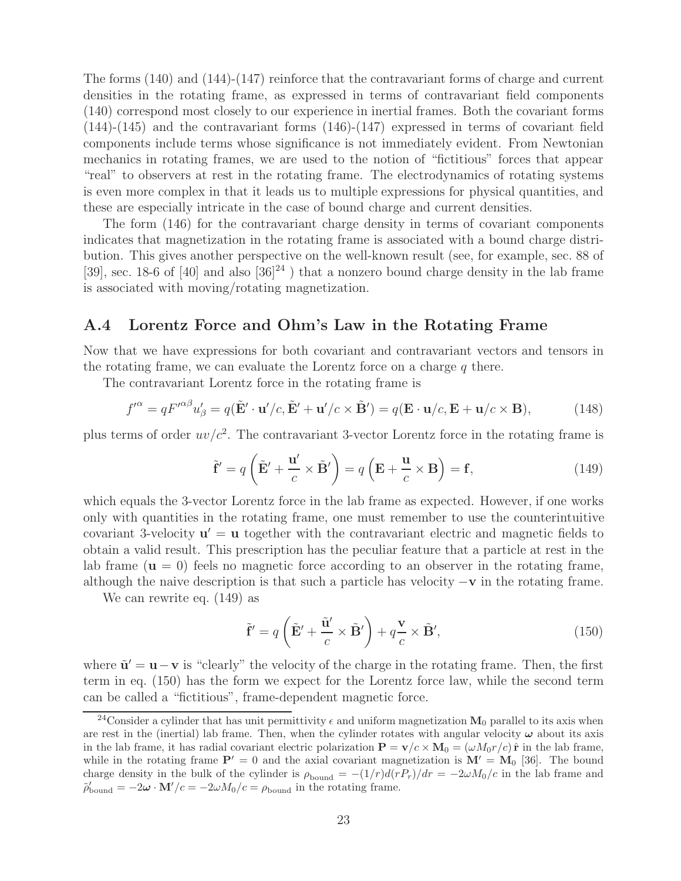The forms (140) and (144)-(147) reinforce that the contravariant forms of charge and current densities in the rotating frame, as expressed in terms of contravariant field components (140) correspond most closely to our experience in inertial frames. Both the covariant forms (144)-(145) and the contravariant forms (146)-(147) expressed in terms of covariant field components include terms whose significance is not immediately evident. From Newtonian mechanics in rotating frames, we are used to the notion of "fictitious" forces that appear "real" to observers at rest in the rotating frame. The electrodynamics of rotating systems is even more complex in that it leads us to multiple expressions for physical quantities, and these are especially intricate in the case of bound charge and current densities.

The form (146) for the contravariant charge density in terms of covariant components indicates that magnetization in the rotating frame is associated with a bound charge distribution. This gives another perspective on the well-known result (see, for example, sec. 88 of [39], sec. 18-6 of [40] and also  $[36]^{24}$  ) that a nonzero bound charge density in the lab frame is associated with moving/rotating magnetization.

## **A.4 Lorentz Force and Ohm's Law in the Rotating Frame**

Now that we have expressions for both covariant and contravariant vectors and tensors in the rotating frame, we can evaluate the Lorentz force on a charge  $q$  there.

The contravariant Lorentz force in the rotating frame is

$$
f^{\prime \alpha} = q F^{\prime \alpha \beta} u_{\beta}^{\prime} = q (\tilde{\mathbf{E}}^{\prime} \cdot \mathbf{u}^{\prime}/c, \tilde{\mathbf{E}}^{\prime} + \mathbf{u}^{\prime}/c \times \tilde{\mathbf{B}}^{\prime}) = q (\mathbf{E} \cdot \mathbf{u}/c, \mathbf{E} + \mathbf{u}/c \times \mathbf{B}), \tag{148}
$$

plus terms of order  $uv/c^2$ . The contravariant 3-vector Lorentz force in the rotating frame is

$$
\tilde{\mathbf{f}}' = q\left(\tilde{\mathbf{E}}' + \frac{\mathbf{u}'}{c} \times \tilde{\mathbf{B}}'\right) = q\left(\mathbf{E} + \frac{\mathbf{u}}{c} \times \mathbf{B}\right) = \mathbf{f},\tag{149}
$$

which equals the 3-vector Lorentz force in the lab frame as expected. However, if one works only with quantities in the rotating frame, one must remember to use the counterintuitive covariant 3-velocity  $\mathbf{u}' = \mathbf{u}$  together with the contravariant electric and magnetic fields to obtain a valid result. This prescription has the peculiar feature that a particle at rest in the lab frame  $(\mathbf{u} = 0)$  feels no magnetic force according to an observer in the rotating frame, although the naive description is that such a particle has velocity −**v** in the rotating frame.

We can rewrite eq. (149) as

$$
\tilde{\mathbf{f}}' = q\left(\tilde{\mathbf{E}}' + \frac{\tilde{\mathbf{u}}'}{c} \times \tilde{\mathbf{B}}'\right) + q\frac{\mathbf{v}}{c} \times \tilde{\mathbf{B}}',\tag{150}
$$

where  $\tilde{\mathbf{u}}' = \mathbf{u} - \mathbf{v}$  is "clearly" the velocity of the charge in the rotating frame. Then, the first term in eq. (150) has the form we expect for the Lorentz force law, while the second term can be called a "fictitious", frame-dependent magnetic force.

<sup>&</sup>lt;sup>24</sup>Consider a cylinder that has unit permittivity  $\epsilon$  and uniform magnetization **M**<sub>0</sub> parallel to its axis when are rest in the (inertial) lab frame. Then, when the cylinder rotates with angular velocity *ω* about its axis in the lab frame, it has radial covariant electric polarization  $\mathbf{P} = \mathbf{v}/c \times \mathbf{M}_0 = (\omega M_0 r/c) \hat{\mathbf{r}}$  in the lab frame, while in the rotating frame  $P' = 0$  and the axial covariant magnetization is  $M' = M_0$  [36]. The bound charge density in the bulk of the cylinder is  $\rho_{\text{bound}} = -(1/r)d(rP_r)/dr = -2\omega M_0/c$  in the lab frame and  $\tilde{\rho}'_{\text{bound}} = -2\boldsymbol{\omega} \cdot \mathbf{M}'/c = -2\omega M_0/c = \rho_{\text{bound}}$  in the rotating frame.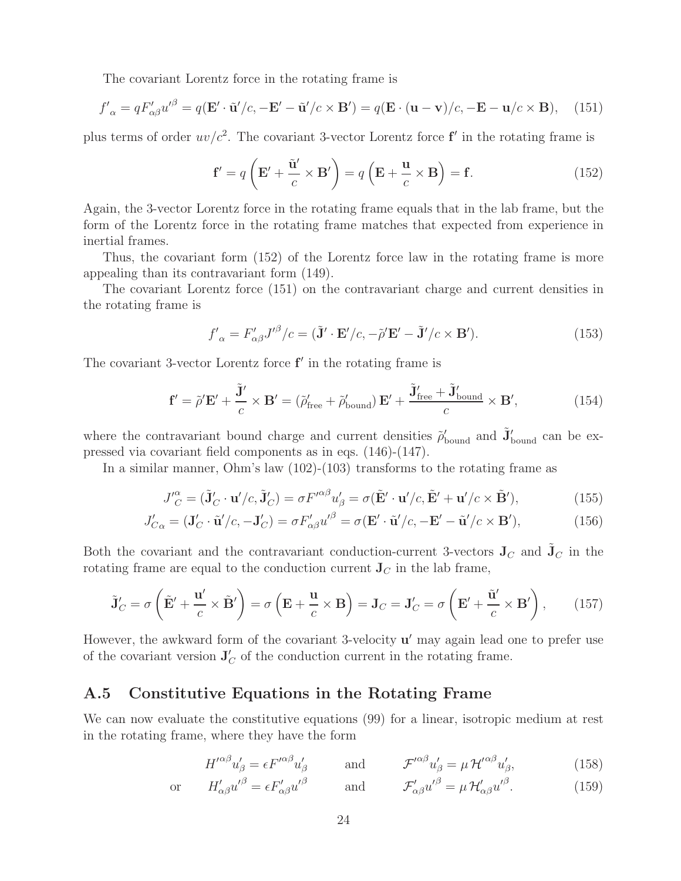The covariant Lorentz force in the rotating frame is

$$
f'_{\alpha} = qF'_{\alpha\beta}u'^{\beta} = q(\mathbf{E}' \cdot \tilde{\mathbf{u}}')c, -\mathbf{E}' - \tilde{\mathbf{u}}/c \times \mathbf{B}') = q(\mathbf{E} \cdot (\mathbf{u} - \mathbf{v})/c, -\mathbf{E} - \mathbf{u}/c \times \mathbf{B}), \quad (151)
$$

plus terms of order  $uv/c^2$ . The covariant 3-vector Lorentz force  $f'$  in the rotating frame is

$$
\mathbf{f}' = q\left(\mathbf{E}' + \frac{\tilde{\mathbf{u}}'}{c} \times \mathbf{B}'\right) = q\left(\mathbf{E} + \frac{\mathbf{u}}{c} \times \mathbf{B}\right) = \mathbf{f}.\tag{152}
$$

Again, the 3-vector Lorentz force in the rotating frame equals that in the lab frame, but the form of the Lorentz force in the rotating frame matches that expected from experience in inertial frames.

Thus, the covariant form (152) of the Lorentz force law in the rotating frame is more appealing than its contravariant form (149).

The covariant Lorentz force (151) on the contravariant charge and current densities in the rotating frame is

$$
f'_{\alpha} = F'_{\alpha\beta} J'^{\beta}/c = (\tilde{\mathbf{J}}' \cdot \mathbf{E}'/c, -\tilde{\rho}' \mathbf{E}' - \tilde{\mathbf{J}}'/c \times \mathbf{B}').
$$
 (153)

The covariant 3-vector Lorentz force  $f'$  in the rotating frame is

$$
\mathbf{f}' = \tilde{\rho}' \mathbf{E}' + \frac{\tilde{\mathbf{J}}'}{c} \times \mathbf{B}' = (\tilde{\rho}'_{\text{free}} + \tilde{\rho}'_{\text{bound}}) \mathbf{E}' + \frac{\tilde{\mathbf{J}}'_{\text{free}} + \tilde{\mathbf{J}}'_{\text{bound}}}{c} \times \mathbf{B}',\tag{154}
$$

where the contravariant bound charge and current densities  $\tilde{\rho}'_{\text{bound}}$  and  $\tilde{\mathbf{J}}'_{\text{bound}}$  can be expressed via covariant field components as in eqs. (146)-(147).

In a similar manner, Ohm's law (102)-(103) transforms to the rotating frame as

$$
J_C^{\prime \alpha} = (\tilde{\mathbf{J}}_C' \cdot \mathbf{u}' / c, \tilde{\mathbf{J}}_C') = \sigma F^{\prime \alpha \beta} u_\beta' = \sigma (\tilde{\mathbf{E}}' \cdot \mathbf{u}' / c, \tilde{\mathbf{E}}' + \mathbf{u}' / c \times \tilde{\mathbf{B}}'),\tag{155}
$$

$$
J'_{C\alpha} = (\mathbf{J}'_C \cdot \tilde{\mathbf{u}}'/c, -\mathbf{J}'_C) = \sigma F'_{\alpha\beta} u'^{\beta} = \sigma (\mathbf{E}' \cdot \tilde{\mathbf{u}}'/c, -\mathbf{E}' - \tilde{\mathbf{u}}'/c \times \mathbf{B}'),\tag{156}
$$

Both the covariant and the contravariant conduction-current 3-vectors  $J_C$  and  $J_C$  in the rotating frame are equal to the conduction current  $J_C$  in the lab frame,

$$
\tilde{\mathbf{J}}_C' = \sigma \left( \tilde{\mathbf{E}}' + \frac{\mathbf{u}'}{c} \times \tilde{\mathbf{B}}' \right) = \sigma \left( \mathbf{E} + \frac{\mathbf{u}}{c} \times \mathbf{B} \right) = \mathbf{J}_C = \mathbf{J}_C' = \sigma \left( \mathbf{E}' + \frac{\tilde{\mathbf{u}}'}{c} \times \mathbf{B}' \right), \quad (157)
$$

However, the awkward form of the covariant 3-velocity  $u'$  may again lead one to prefer use of the covariant version  $J_C'$  of the conduction current in the rotating frame.

## **A.5 Constitutive Equations in the Rotating Frame**

We can now evaluate the constitutive equations (99) for a linear, isotropic medium at rest in the rotating frame, where they have the form

$$
H^{\prime\alpha\beta}u'_{\beta} = \epsilon F^{\prime\alpha\beta}u'_{\beta} \qquad \text{and} \qquad \mathcal{F}^{\prime\alpha\beta}u'_{\beta} = \mu \mathcal{H}^{\prime\alpha\beta}u'_{\beta}, \qquad (158)
$$

or 
$$
H'_{\alpha\beta}u'^{\beta} = \epsilon F'_{\alpha\beta}u'^{\beta}
$$
 and  $\mathcal{F}'_{\alpha\beta}u'^{\beta} = \mu \mathcal{H}'_{\alpha\beta}u'^{\beta}.$  (159)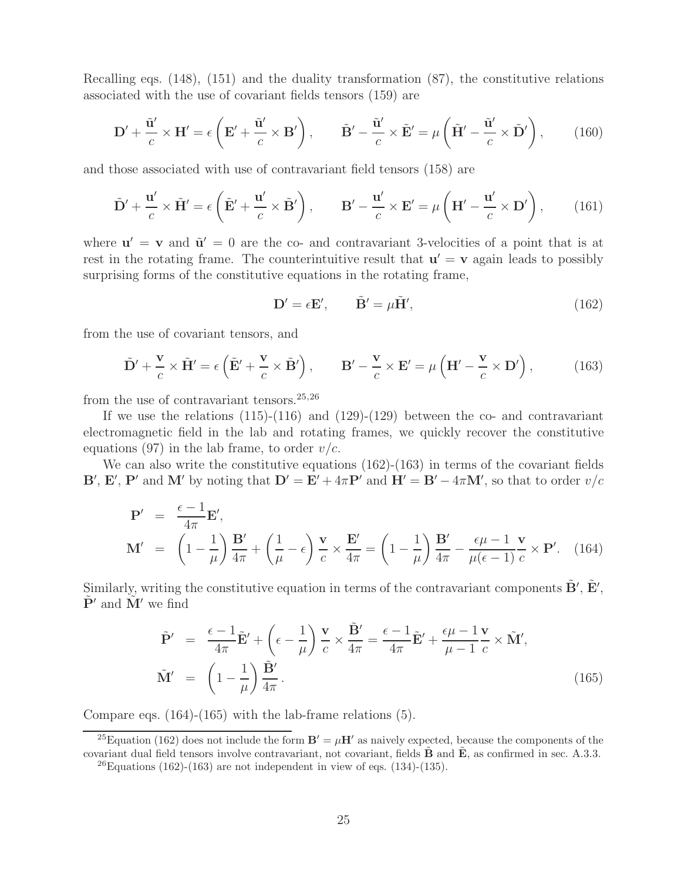Recalling eqs. (148), (151) and the duality transformation (87), the constitutive relations associated with the use of covariant fields tensors (159) are

$$
\mathbf{D}' + \frac{\tilde{\mathbf{u}}'}{c} \times \mathbf{H}' = \epsilon \left( \mathbf{E}' + \frac{\tilde{\mathbf{u}}'}{c} \times \mathbf{B}' \right), \qquad \tilde{\mathbf{B}}' - \frac{\tilde{\mathbf{u}}'}{c} \times \tilde{\mathbf{E}}' = \mu \left( \tilde{\mathbf{H}}' - \frac{\tilde{\mathbf{u}}'}{c} \times \tilde{\mathbf{D}}' \right), \qquad (160)
$$

and those associated with use of contravariant field tensors (158) are

$$
\tilde{\mathbf{D}}' + \frac{\mathbf{u}'}{c} \times \tilde{\mathbf{H}}' = \epsilon \left( \tilde{\mathbf{E}}' + \frac{\mathbf{u}'}{c} \times \tilde{\mathbf{B}}' \right), \qquad \mathbf{B}' - \frac{\mathbf{u}'}{c} \times \mathbf{E}' = \mu \left( \mathbf{H}' - \frac{\mathbf{u}'}{c} \times \mathbf{D}' \right), \tag{161}
$$

where  $\mathbf{u}' = \mathbf{v}$  and  $\tilde{\mathbf{u}}' = 0$  are the co- and contravariant 3-velocities of a point that is at rest in the rotating frame. The counterintuitive result that  $\mathbf{u}' = \mathbf{v}$  again leads to possibly surprising forms of the constitutive equations in the rotating frame,

$$
\mathbf{D}' = \epsilon \mathbf{E}', \qquad \tilde{\mathbf{B}}' = \mu \tilde{\mathbf{H}}', \tag{162}
$$

from the use of covariant tensors, and

$$
\tilde{\mathbf{D}}' + \frac{\mathbf{v}}{c} \times \tilde{\mathbf{H}}' = \epsilon \left( \tilde{\mathbf{E}}' + \frac{\mathbf{v}}{c} \times \tilde{\mathbf{B}}' \right), \qquad \mathbf{B}' - \frac{\mathbf{v}}{c} \times \mathbf{E}' = \mu \left( \mathbf{H}' - \frac{\mathbf{v}}{c} \times \mathbf{D}' \right), \tag{163}
$$

from the use of contravariant tensors.  $25,26$ 

If we use the relations  $(115)-(116)$  and  $(129)-(129)$  between the co- and contravariant electromagnetic field in the lab and rotating frames, we quickly recover the constitutive equations (97) in the lab frame, to order  $v/c$ .

We can also write the constitutive equations  $(162)-(163)$  in terms of the covariant fields **B**', **E**', **P**' and **M**' by noting that  $D' = E' + 4\pi P'$  and  $H' = B' - 4\pi M'$ , so that to order  $v/c$ 

$$
\mathbf{P}' = \frac{\epsilon - 1}{4\pi} \mathbf{E}',
$$
\n
$$
\mathbf{M}' = \left(1 - \frac{1}{\mu}\right) \frac{\mathbf{B}'}{4\pi} + \left(\frac{1}{\mu} - \epsilon\right) \frac{\mathbf{v}}{c} \times \frac{\mathbf{E}'}{4\pi} = \left(1 - \frac{1}{\mu}\right) \frac{\mathbf{B}'}{4\pi} - \frac{\epsilon \mu - 1}{\mu(\epsilon - 1)} \frac{\mathbf{v}}{c} \times \mathbf{P}'. \quad (164)
$$

Similarly, writing the constitutive equation in terms of the contravariant components  $\tilde{\mathbf{B}}'$ ,  $\tilde{\mathbf{E}}'$ ,  $\tilde{\mathbf{P}}'$  and  $\tilde{\mathbf{M}}'$  we find

$$
\tilde{\mathbf{P}}' = \frac{\epsilon - 1}{4\pi} \tilde{\mathbf{E}}' + \left(\epsilon - \frac{1}{\mu}\right) \frac{\mathbf{v}}{c} \times \frac{\tilde{\mathbf{B}}'}{4\pi} = \frac{\epsilon - 1}{4\pi} \tilde{\mathbf{E}}' + \frac{\epsilon \mu - 1}{\mu - 1} \frac{\mathbf{v}}{c} \times \tilde{\mathbf{M}}',
$$
\n
$$
\tilde{\mathbf{M}}' = \left(1 - \frac{1}{\mu}\right) \frac{\tilde{\mathbf{B}}'}{4\pi}.
$$
\n(165)

Compare eqs. (164)-(165) with the lab-frame relations (5).

<sup>&</sup>lt;sup>25</sup>Equation (162) does not include the form  $\mathbf{B}' = \mu \mathbf{H}'$  as naively expected, because the components of the covariant dual field tensors involve contravariant, not covariant, fields  $\hat{\mathbf{B}}$  and  $\hat{\mathbf{E}}$ , as confirmed in sec. A.3.3.

<sup>&</sup>lt;sup>26</sup>Equations (162)-(163) are not independent in view of eqs. (134)-(135).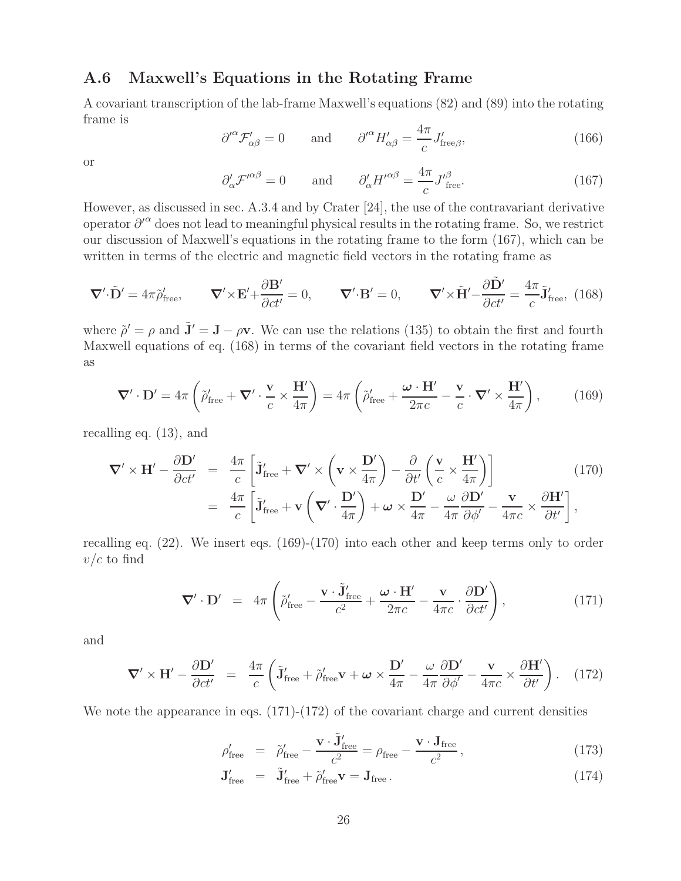## **A.6 Maxwell's Equations in the Rotating Frame**

A covariant transcription of the lab-frame Maxwell's equations (82) and (89) into the rotating frame is

$$
\partial^{\prime \alpha} \mathcal{F}'_{\alpha \beta} = 0 \quad \text{and} \quad \partial^{\prime \alpha} H'_{\alpha \beta} = \frac{4\pi}{c} J'_{\text{free}\beta}, \tag{166}
$$

or

$$
\partial'_{\alpha} \mathcal{F}'^{\alpha\beta} = 0 \quad \text{and} \quad \partial'_{\alpha} H'^{\alpha\beta} = \frac{4\pi}{c} J'^{\beta}_{\text{free}}.
$$
 (167)

However, as discussed in sec. A.3.4 and by Crater [24], the use of the contravariant derivative operator  $\partial^{\prime\alpha}$  does not lead to meaningful physical results in the rotating frame. So, we restrict our discussion of Maxwell's equations in the rotating frame to the form (167), which can be written in terms of the electric and magnetic field vectors in the rotating frame as

$$
\nabla' \cdot \tilde{\mathbf{D}}' = 4\pi \tilde{\rho}'_{\text{free}}, \qquad \nabla' \times \mathbf{E}' + \frac{\partial \mathbf{B}'}{\partial ct'} = 0, \qquad \nabla' \cdot \mathbf{B}' = 0, \qquad \nabla' \times \tilde{\mathbf{H}}' - \frac{\partial \tilde{\mathbf{D}}'}{\partial ct'} = \frac{4\pi}{c} \tilde{\mathbf{J}}'_{\text{free}}, \tag{168}
$$

where  $\tilde{\rho}' = \rho$  and  $\tilde{\mathbf{J}}' = \mathbf{J} - \rho \mathbf{v}$ . We can use the relations (135) to obtain the first and fourth Maxwell equations of eq. (168) in terms of the covariant field vectors in the rotating frame as

$$
\nabla' \cdot \mathbf{D}' = 4\pi \left( \tilde{\rho}'_{\text{free}} + \nabla' \cdot \frac{\mathbf{v}}{c} \times \frac{\mathbf{H}'}{4\pi} \right) = 4\pi \left( \tilde{\rho}'_{\text{free}} + \frac{\boldsymbol{\omega} \cdot \mathbf{H}'}{2\pi c} - \frac{\mathbf{v}}{c} \cdot \nabla' \times \frac{\mathbf{H}'}{4\pi} \right), \tag{169}
$$

recalling eq. (13), and

$$
\nabla' \times \mathbf{H}' - \frac{\partial \mathbf{D}'}{\partial ct'} = \frac{4\pi}{c} \left[ \tilde{\mathbf{J}}'_{\text{free}} + \nabla' \times \left( \mathbf{v} \times \frac{\mathbf{D}'}{4\pi} \right) - \frac{\partial}{\partial t'} \left( \frac{\mathbf{v}}{c} \times \frac{\mathbf{H}'}{4\pi} \right) \right]
$$
(170)  
=  $\frac{4\pi}{c} \left[ \tilde{\mathbf{J}}'_{\text{free}} + \mathbf{v} \left( \nabla' \cdot \frac{\mathbf{D}'}{4\pi} \right) + \boldsymbol{\omega} \times \frac{\mathbf{D}'}{4\pi} - \frac{\boldsymbol{\omega}}{4\pi} \frac{\partial \mathbf{D}'}{\partial \phi'} - \frac{\mathbf{v}}{4\pi c} \times \frac{\partial \mathbf{H}'}{\partial t'} \right],$ 

recalling eq. (22). We insert eqs. (169)-(170) into each other and keep terms only to order  $v/c$  to find

$$
\nabla' \cdot \mathbf{D}' = 4\pi \left( \tilde{\rho}'_{\text{free}} - \frac{\mathbf{v} \cdot \tilde{\mathbf{J}}'_{\text{free}}}{c^2} + \frac{\boldsymbol{\omega} \cdot \mathbf{H}'}{2\pi c} - \frac{\mathbf{v}}{4\pi c} \cdot \frac{\partial \mathbf{D}'}{\partial ct'} \right), \tag{171}
$$

and

$$
\nabla' \times \mathbf{H}' - \frac{\partial \mathbf{D}'}{\partial ct'} = \frac{4\pi}{c} \left( \tilde{\mathbf{J}}'_{\text{free}} + \tilde{\rho}'_{\text{free}} \mathbf{v} + \boldsymbol{\omega} \times \frac{\mathbf{D}'}{4\pi} - \frac{\omega}{4\pi} \frac{\partial \mathbf{D}'}{\partial \phi'} - \frac{\mathbf{v}}{4\pi c} \times \frac{\partial \mathbf{H}'}{\partial t'} \right).
$$
 (172)

We note the appearance in eqs.  $(171)-(172)$  of the covariant charge and current densities

$$
\rho'_{\text{free}} = \tilde{\rho}'_{\text{free}} - \frac{\mathbf{v} \cdot \tilde{\mathbf{J}}'_{\text{free}}}{c^2} = \rho_{\text{free}} - \frac{\mathbf{v} \cdot \mathbf{J}_{\text{free}}}{c^2},\tag{173}
$$

$$
\mathbf{J}'_{\text{free}} = \tilde{\mathbf{J}}'_{\text{free}} + \tilde{\rho}'_{\text{free}} \mathbf{v} = \mathbf{J}_{\text{free}}.
$$
 (174)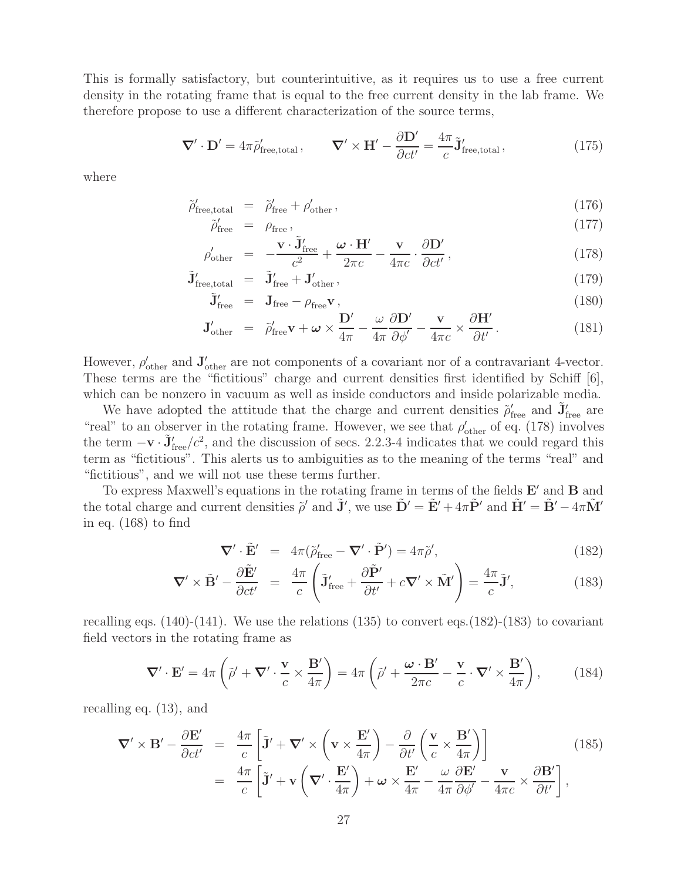This is formally satisfactory, but counterintuitive, as it requires us to use a free current density in the rotating frame that is equal to the free current density in the lab frame. We therefore propose to use a different characterization of the source terms,

$$
\nabla' \cdot \mathbf{D}' = 4\pi \tilde{\rho}'_{\text{free,total}}, \qquad \nabla' \times \mathbf{H}' - \frac{\partial \mathbf{D}'}{\partial ct'} = \frac{4\pi}{c} \tilde{\mathbf{J}}'_{\text{free,total}}, \tag{175}
$$

where

$$
\tilde{\rho}'_{\text{free,total}} = \tilde{\rho}'_{\text{free}} + \rho'_{\text{other}}\,,\tag{176}
$$

$$
\tilde{\rho}'_{\text{free}} = \rho_{\text{free}},\tag{177}
$$

$$
\rho'_{\text{other}} = -\frac{\mathbf{v} \cdot \tilde{\mathbf{J}}'_{\text{free}}}{c^2} + \frac{\boldsymbol{\omega} \cdot \mathbf{H}'}{2\pi c} - \frac{\mathbf{v}}{4\pi c} \cdot \frac{\partial \mathbf{D}'}{\partial ct'},
$$
\n(178)

$$
\tilde{\mathbf{J}}'_{\text{free,total}} = \tilde{\mathbf{J}}'_{\text{free}} + \mathbf{J}'_{\text{other}}\,,\tag{179}
$$

$$
\tilde{\mathbf{J}}'_{\text{free}} = \mathbf{J}_{\text{free}} - \rho_{\text{free}} \mathbf{v},\tag{180}
$$

$$
\mathbf{J}_{\text{other}}' = \tilde{\rho}_{\text{free}}' \mathbf{v} + \boldsymbol{\omega} \times \frac{\mathbf{D}'}{4\pi} - \frac{\omega}{4\pi} \frac{\partial \mathbf{D}'}{\partial \phi'} - \frac{\mathbf{v}}{4\pi c} \times \frac{\partial \mathbf{H}'}{\partial t'}.
$$
(181)

However,  $\rho'_{\text{other}}$  and  $\mathbf{J}'_{\text{other}}$  are not components of a covariant nor of a contravariant 4-vector. These terms are the "fictitious" charge and current densities first identified by Schiff [6], which can be nonzero in vacuum as well as inside conductors and inside polarizable media.

We have adopted the attitude that the charge and current densities  $\rho'_{\text{free}}$  and  $\tilde{\mathbf{J}}'_{\text{free}}$  are "real" to an observer in the rotating frame. However, we see that  $\rho_{\text{other}}'$  of eq. (178) involves the term  $-\mathbf{v} \cdot \tilde{\mathbf{J}}'_{\text{free}}/c^2$ , and the discussion of secs. 2.2.3-4 indicates that we could regard this term as "fictitious". This alerts us to ambiguities as to the meaning of the terms "real" and "fictitious", and we will not use these terms further.

To express Maxwell's equations in the rotating frame in terms of the fields  $E'$  and **B** and the total charge and current densities  $\tilde{\rho}'$  and  $\tilde{\mathbf{J}}'$ , we use  $\tilde{\mathbf{D}}' = \tilde{\mathbf{E}}' + 4\pi \tilde{\mathbf{P}}'$  and  $\tilde{\mathbf{H}}' = \tilde{\mathbf{B}}' - 4\pi \tilde{\mathbf{M}}'$ in eq. (168) to find

$$
\nabla' \cdot \tilde{\mathbf{E}}' = 4\pi (\tilde{\rho}'_{\text{free}} - \nabla' \cdot \tilde{\mathbf{P}}') = 4\pi \tilde{\rho}',\tag{182}
$$

$$
\nabla' \times \tilde{\mathbf{B}}' - \frac{\partial \tilde{\mathbf{E}}'}{\partial ct'} = \frac{4\pi}{c} \left( \tilde{\mathbf{J}}'_{\text{free}} + \frac{\partial \tilde{\mathbf{P}}'}{\partial t'} + c \nabla' \times \tilde{\mathbf{M}}' \right) = \frac{4\pi}{c} \tilde{\mathbf{J}}',\tag{183}
$$

recalling eqs.  $(140)$ - $(141)$ . We use the relations  $(135)$  to convert eqs.  $(182)$ - $(183)$  to covariant field vectors in the rotating frame as

$$
\nabla' \cdot \mathbf{E}' = 4\pi \left( \tilde{\rho}' + \nabla' \cdot \frac{\mathbf{v}}{c} \times \frac{\mathbf{B}'}{4\pi} \right) = 4\pi \left( \tilde{\rho}' + \frac{\boldsymbol{\omega} \cdot \mathbf{B}'}{2\pi c} - \frac{\mathbf{v}}{c} \cdot \nabla' \times \frac{\mathbf{B}'}{4\pi} \right), \tag{184}
$$

recalling eq. (13), and

$$
\nabla' \times \mathbf{B}' - \frac{\partial \mathbf{E}'}{\partial ct'} = \frac{4\pi}{c} \left[ \tilde{\mathbf{J}}' + \nabla' \times \left( \mathbf{v} \times \frac{\mathbf{E}'}{4\pi} \right) - \frac{\partial}{\partial t'} \left( \frac{\mathbf{v}}{c} \times \frac{\mathbf{B}'}{4\pi} \right) \right]
$$
(185)  

$$
= \frac{4\pi}{c} \left[ \tilde{\mathbf{J}}' + \mathbf{v} \left( \nabla' \cdot \frac{\mathbf{E}'}{4\pi} \right) + \boldsymbol{\omega} \times \frac{\mathbf{E}'}{4\pi} - \frac{\boldsymbol{\omega}}{4\pi} \frac{\partial \mathbf{E}'}{\partial \phi'} - \frac{\mathbf{v}}{4\pi c} \times \frac{\partial \mathbf{B}'}{\partial t'} \right],
$$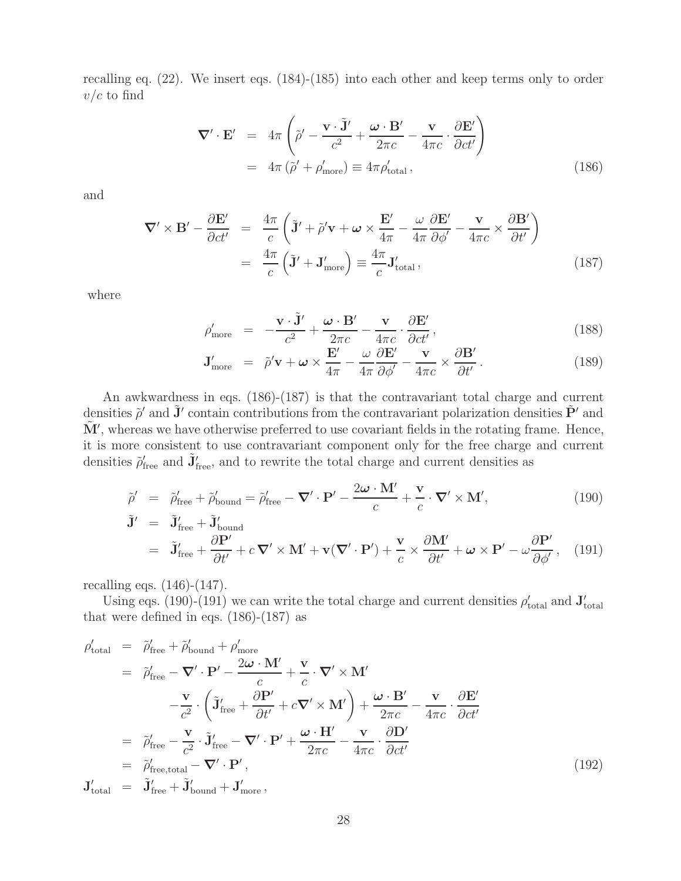recalling eq. (22). We insert eqs. (184)-(185) into each other and keep terms only to order  $v/c$  to find

$$
\nabla' \cdot \mathbf{E}' = 4\pi \left( \tilde{\rho}' - \frac{\mathbf{v} \cdot \tilde{\mathbf{J}}'}{c^2} + \frac{\boldsymbol{\omega} \cdot \mathbf{B}'}{2\pi c} - \frac{\mathbf{v}}{4\pi c} \cdot \frac{\partial \mathbf{E}'}{\partial ct'} \right)
$$
  
=  $4\pi \left( \tilde{\rho}' + \rho'_{\text{more}} \right) \equiv 4\pi \rho'_{\text{total}},$  (186)

and

$$
\nabla' \times \mathbf{B}' - \frac{\partial \mathbf{E}'}{\partial ct'} = \frac{4\pi}{c} \left( \tilde{\mathbf{J}}' + \tilde{\rho}' \mathbf{v} + \boldsymbol{\omega} \times \frac{\mathbf{E}'}{4\pi} - \frac{\omega}{4\pi} \frac{\partial \mathbf{E}'}{\partial \phi'} - \frac{\mathbf{v}}{4\pi c} \times \frac{\partial \mathbf{B}'}{\partial t'} \right)
$$

$$
= \frac{4\pi}{c} \left( \tilde{\mathbf{J}}' + \mathbf{J}'_{\text{more}} \right) \equiv \frac{4\pi}{c} \mathbf{J}'_{\text{total}}, \tag{187}
$$

where

$$
\rho'_{\text{more}} = -\frac{\mathbf{v} \cdot \tilde{\mathbf{J}}'}{c^2} + \frac{\boldsymbol{\omega} \cdot \mathbf{B}'}{2\pi c} - \frac{\mathbf{v}}{4\pi c} \cdot \frac{\partial \mathbf{E}'}{\partial ct'},
$$
\n(188)

$$
\mathbf{J}'_{\text{more}} = \tilde{\rho}' \mathbf{v} + \boldsymbol{\omega} \times \frac{\mathbf{E}'}{4\pi} - \frac{\omega}{4\pi} \frac{\partial \mathbf{E}'}{\partial \phi'} - \frac{\mathbf{v}}{4\pi c} \times \frac{\partial \mathbf{B}'}{\partial t'}.
$$
 (189)

An awkwardness in eqs. (186)-(187) is that the contravariant total charge and current densities  $\tilde{\rho}'$  and  $\tilde{\mathbf{J}}'$  contain contributions from the contravariant polarization densities  $\tilde{\mathbf{P}}'$  and  $\tilde{\mathbf{M}}'$ , whereas we have otherwise preferred to use covariant fields in the rotating frame. Hence, it is more consistent to use contravariant component only for the free charge and current densities  $\tilde{\rho}'_{\text{free}}$  and  $\tilde{\mathbf{J}}'_{\text{free}}$ , and to rewrite the total charge and current densities as

$$
\tilde{\rho}' = \tilde{\rho}'_{\text{free}} + \tilde{\rho}'_{\text{bound}} = \tilde{\rho}'_{\text{free}} - \nabla' \cdot \mathbf{P}' - \frac{2\omega \cdot \mathbf{M}'}{c} + \frac{\mathbf{v}}{c} \cdot \nabla' \times \mathbf{M}',\tag{190}
$$

$$
\tilde{\mathbf{J}}' = \tilde{\mathbf{J}}'_{\text{free}} + \tilde{\mathbf{J}}'_{\text{bound}}
$$
\n
$$
= \tilde{\mathbf{J}}'_{\text{free}} + \frac{\partial \mathbf{P}'}{\partial t'} + c \, \nabla' \times \mathbf{M}' + \mathbf{v}(\nabla' \cdot \mathbf{P}') + \frac{\mathbf{v}}{c} \times \frac{\partial \mathbf{M}'}{\partial t'} + \boldsymbol{\omega} \times \mathbf{P}' - \omega \frac{\partial \mathbf{P}'}{\partial \phi'}, \quad (191)
$$

recalling eqs. (146)-(147).

Using eqs. (190)-(191) we can write the total charge and current densities  $\rho'_{total}$  and  $J'_{total}$ that were defined in eqs.  $(186)-(187)$  as

$$
\rho'_{\text{total}} = \tilde{\rho}'_{\text{free}} + \tilde{\rho}'_{\text{bound}} + \rho'_{\text{more}}
$$
\n
$$
= \tilde{\rho}'_{\text{free}} - \nabla' \cdot \mathbf{P}' - \frac{2\omega \cdot \mathbf{M}'}{c} + \frac{\mathbf{v}}{c} \cdot \nabla' \times \mathbf{M}'
$$
\n
$$
- \frac{\mathbf{v}}{c^2} \cdot \left( \tilde{\mathbf{J}}'_{\text{free}} + \frac{\partial \mathbf{P}'}{\partial t'} + c \nabla' \times \mathbf{M}' \right) + \frac{\omega \cdot \mathbf{B}'}{2\pi c} - \frac{\mathbf{v}}{4\pi c} \cdot \frac{\partial \mathbf{E}'}{\partial ct'}
$$
\n
$$
= \tilde{\rho}'_{\text{free}} - \frac{\mathbf{v}}{c^2} \cdot \tilde{\mathbf{J}}'_{\text{free}} - \nabla' \cdot \mathbf{P}' + \frac{\omega \cdot \mathbf{H}'}{2\pi c} - \frac{\mathbf{v}}{4\pi c} \cdot \frac{\partial \mathbf{D}'}{\partial ct'}
$$
\n
$$
= \tilde{\rho}'_{\text{free,total}} - \nabla' \cdot \mathbf{P}',
$$
\n
$$
\mathbf{J}'_{\text{total}} = \tilde{\mathbf{J}}'_{\text{free}} + \tilde{\mathbf{J}}'_{\text{bound}} + \mathbf{J}'_{\text{more}},
$$
\n(192)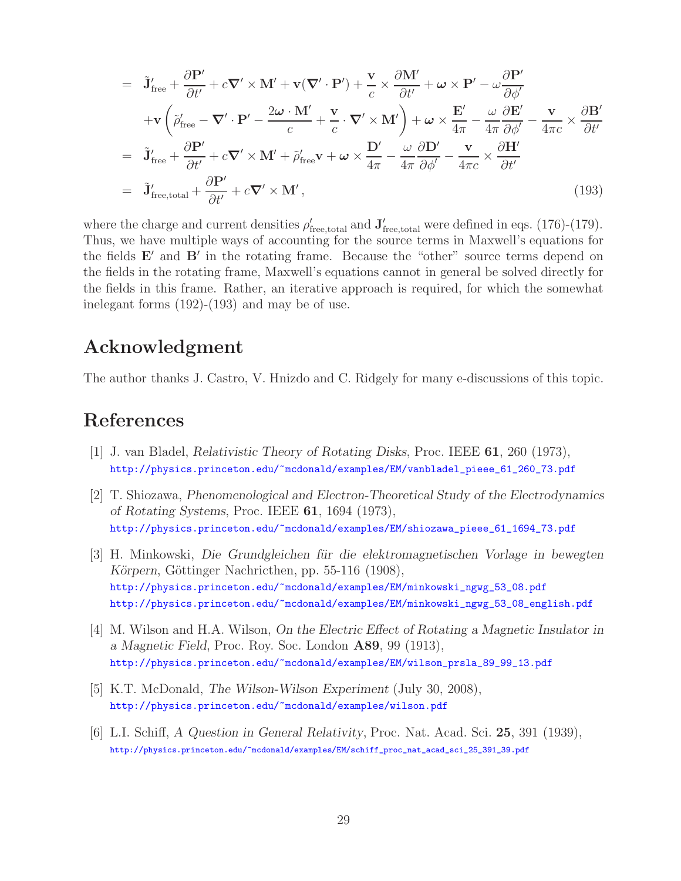$$
= \tilde{J}'_{\text{free}} + \frac{\partial P'}{\partial t'} + c \nabla' \times M' + v(\nabla' \cdot P') + \frac{v}{c} \times \frac{\partial M'}{\partial t'} + \omega \times P' - \omega \frac{\partial P'}{\partial \phi'}
$$
  
+ 
$$
+ v \left( \tilde{\rho}'_{\text{free}} - \nabla' \cdot P' - \frac{2\omega \cdot M'}{c} + \frac{v}{c} \cdot \nabla' \times M' \right) + \omega \times \frac{E'}{4\pi} - \frac{\omega}{4\pi} \frac{\partial E'}{\partial \phi'} - \frac{v}{4\pi c} \times \frac{\partial B'}{\partial t'}
$$
  
= 
$$
\tilde{J}'_{\text{free}} + \frac{\partial P'}{\partial t'} + c \nabla' \times M' + \tilde{\rho}'_{\text{free}} v + \omega \times \frac{D'}{4\pi} - \frac{\omega}{4\pi} \frac{\partial D'}{\partial \phi'} - \frac{v}{4\pi c} \times \frac{\partial H'}{\partial t'}
$$
  
= 
$$
\tilde{J}'_{\text{free,total}} + \frac{\partial P'}{\partial t'} + c \nabla' \times M', \qquad (193)
$$

where the charge and current densities  $\rho'_{\text{free,total}}$  and  $\mathbf{J}'_{\text{free,total}}$  were defined in eqs. (176)-(179). Thus, we have multiple ways of accounting for the source terms in Maxwell's equations for the fields  $E'$  and  $B'$  in the rotating frame. Because the "other" source terms depend on the fields in the rotating frame, Maxwell's equations cannot in general be solved directly for the fields in this frame. Rather, an iterative approach is required, for which the somewhat inelegant forms (192)-(193) and may be of use.

# **Acknowledgment**

The author thanks J. Castro, V. Hnizdo and C. Ridgely for many e-discussions of this topic.

# **References**

- [1] J. van Bladel, *Relativistic Theory of Rotating Disks*, Proc. IEEE **61**, 260 (1973), http://physics.princeton.edu/~mcdonald/examples/EM/vanbladel\_pieee\_61\_260\_73.pdf
- [2] T. Shiozawa, *Phenomenological and Electron-Theoretical Study of the Electrodynamics of Rotating Systems*, Proc. IEEE **61**, 1694 (1973), http://physics.princeton.edu/~mcdonald/examples/EM/shiozawa\_pieee\_61\_1694\_73.pdf
- [3] H. Minkowski, *Die Grundgleichen f¨ur die elektromagnetischen Vorlage in bewegten Körpern*, Göttinger Nachricthen, pp. 55-116 (1908), http://physics.princeton.edu/~mcdonald/examples/EM/minkowski\_ngwg\_53\_08.pdf http://physics.princeton.edu/~mcdonald/examples/EM/minkowski\_ngwg\_53\_08\_english.pdf
- [4] M. Wilson and H.A. Wilson, *On the Electric Effect of Rotating a Magnetic Insulator in a Magnetic Field*, Proc. Roy. Soc. London **A89**, 99 (1913), http://physics.princeton.edu/~mcdonald/examples/EM/wilson\_prsla\_89\_99\_13.pdf
- [5] K.T. McDonald, *The Wilson-Wilson Experiment* (July 30, 2008), http://physics.princeton.edu/~mcdonald/examples/wilson.pdf
- [6] L.I. Schiff, *A Question in General Relativity*, Proc. Nat. Acad. Sci. **25**, 391 (1939), http://physics.princeton.edu/~mcdonald/examples/EM/schiff\_proc\_nat\_acad\_sci\_25\_391\_39.pdf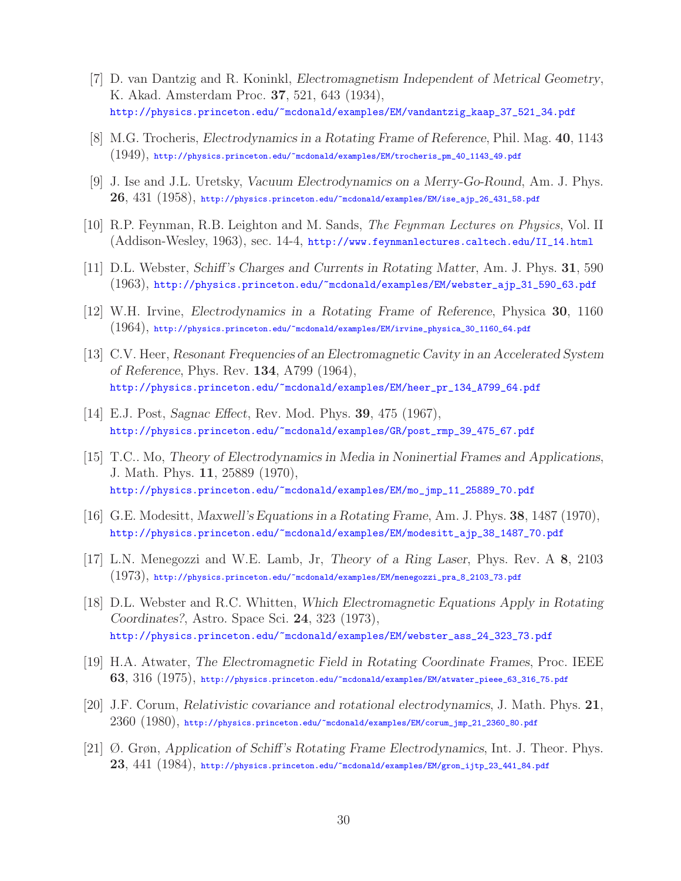- [7] D. van Dantzig and R. Koninkl, *Electromagnetism Independent of Metrical Geometry*, K. Akad. Amsterdam Proc. **37**, 521, 643 (1934), http://physics.princeton.edu/~mcdonald/examples/EM/vandantzig\_kaap\_37\_521\_34.pdf
- [8] M.G. Trocheris, *Electrodynamics in a Rotating Frame of Reference*, Phil. Mag. **40**, 1143 (1949), http://physics.princeton.edu/~mcdonald/examples/EM/trocheris\_pm\_40\_1143\_49.pdf
- [9] J. Ise and J.L. Uretsky, *Vacuum Electrodynamics on a Merry-Go-Round*, Am. J. Phys. **26**, 431 (1958), http://physics.princeton.edu/~mcdonald/examples/EM/ise\_ajp\_26\_431\_58.pdf
- [10] R.P. Feynman, R.B. Leighton and M. Sands, *The Feynman Lectures on Physics*, Vol. II (Addison-Wesley, 1963), sec. 14-4, http://www.feynmanlectures.caltech.edu/II\_14.html
- [11] D.L. Webster, *Schiff's Charges and Currents in Rotating Matter*, Am. J. Phys. **31**, 590 (1963), http://physics.princeton.edu/~mcdonald/examples/EM/webster\_ajp\_31\_590\_63.pdf
- [12] W.H. Irvine, *Electrodynamics in a Rotating Frame of Reference*, Physica **30**, 1160 (1964), http://physics.princeton.edu/~mcdonald/examples/EM/irvine\_physica\_30\_1160\_64.pdf
- [13] C.V. Heer, *Resonant Frequencies of an Electromagnetic Cavity in an Accelerated System of Reference*, Phys. Rev. **134**, A799 (1964), http://physics.princeton.edu/~mcdonald/examples/EM/heer\_pr\_134\_A799\_64.pdf
- [14] E.J. Post, *Sagnac Effect*, Rev. Mod. Phys. **39**, 475 (1967), http://physics.princeton.edu/~mcdonald/examples/GR/post\_rmp\_39\_475\_67.pdf
- [15] T.C.. Mo, *Theory of Electrodynamics in Media in Noninertial Frames and Applications*, J. Math. Phys. **11**, 25889 (1970), http://physics.princeton.edu/~mcdonald/examples/EM/mo\_jmp\_11\_25889\_70.pdf
- [16] G.E. Modesitt, *Maxwell's Equations in a Rotating Frame*, Am. J. Phys. **38**, 1487 (1970), http://physics.princeton.edu/~mcdonald/examples/EM/modesitt\_ajp\_38\_1487\_70.pdf
- [17] L.N. Menegozzi and W.E. Lamb, Jr, *Theory of a Ring Laser*, Phys. Rev. A **8**, 2103 (1973), http://physics.princeton.edu/~mcdonald/examples/EM/menegozzi\_pra\_8\_2103\_73.pdf
- [18] D.L. Webster and R.C. Whitten, *Which Electromagnetic Equations Apply in Rotating Coordinates?*, Astro. Space Sci. **24**, 323 (1973), http://physics.princeton.edu/~mcdonald/examples/EM/webster\_ass\_24\_323\_73.pdf
- [19] H.A. Atwater, *The Electromagnetic Field in Rotating Coordinate Frames*, Proc. IEEE **63**, 316 (1975), http://physics.princeton.edu/~mcdonald/examples/EM/atwater\_pieee\_63\_316\_75.pdf
- [20] J.F. Corum, *Relativistic covariance and rotational electrodynamics*, J. Math. Phys. **21**, 2360 (1980), http://physics.princeton.edu/~mcdonald/examples/EM/corum\_jmp\_21\_2360\_80.pdf
- [21] Ø. Grøn, *Application of Schiff's Rotating Frame Electrodynamics*, Int. J. Theor. Phys. **23**, 441 (1984), http://physics.princeton.edu/~mcdonald/examples/EM/gron\_ijtp\_23\_441\_84.pdf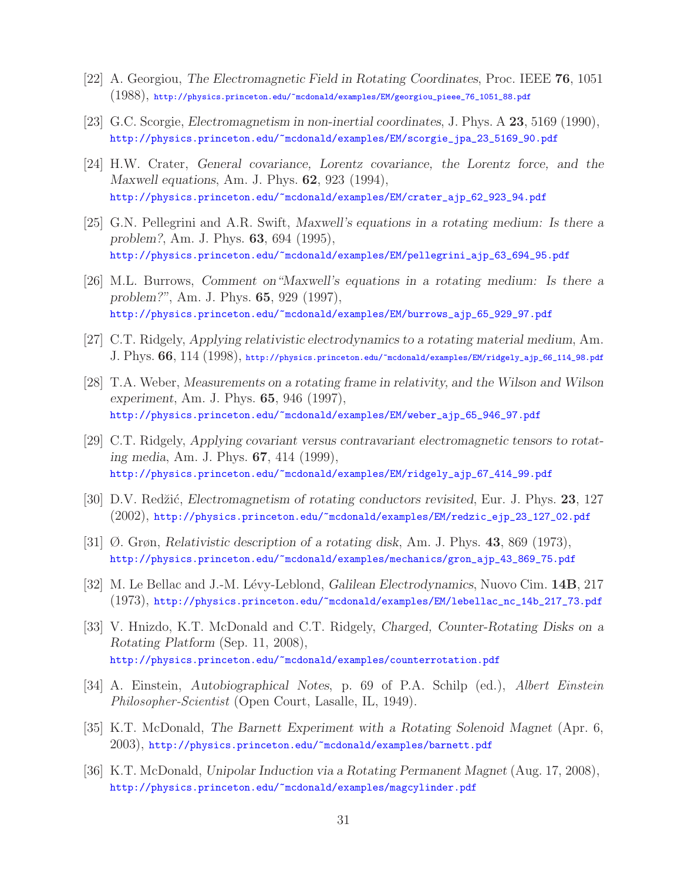- [22] A. Georgiou, *The Electromagnetic Field in Rotating Coordinates*, Proc. IEEE **76**, 1051 (1988), http://physics.princeton.edu/~mcdonald/examples/EM/georgiou\_pieee\_76\_1051\_88.pdf
- [23] G.C. Scorgie, *Electromagnetism in non-inertial coordinates*, J. Phys. A **23**, 5169 (1990), http://physics.princeton.edu/~mcdonald/examples/EM/scorgie\_jpa\_23\_5169\_90.pdf
- [24] H.W. Crater, *General covariance, Lorentz covariance, the Lorentz force, and the Maxwell equations*, Am. J. Phys. **62**, 923 (1994), http://physics.princeton.edu/~mcdonald/examples/EM/crater\_ajp\_62\_923\_94.pdf
- [25] G.N. Pellegrini and A.R. Swift, *Maxwell's equations in a rotating medium: Is there a problem?*, Am. J. Phys. **63**, 694 (1995), http://physics.princeton.edu/~mcdonald/examples/EM/pellegrini\_ajp\_63\_694\_95.pdf
- [26] M.L. Burrows, *Comment on"Maxwell's equations in a rotating medium: Is there a problem?"*, Am. J. Phys. **65**, 929 (1997), http://physics.princeton.edu/~mcdonald/examples/EM/burrows\_ajp\_65\_929\_97.pdf
- [27] C.T. Ridgely, *Applying relativistic electrodynamics to a rotating material medium*, Am. J. Phys. **66**, 114 (1998), http://physics.princeton.edu/~mcdonald/examples/EM/ridgely\_ajp\_66\_114\_98.pdf
- [28] T.A. Weber, *Measurements on a rotating frame in relativity, and the Wilson and Wilson experiment*, Am. J. Phys. **65**, 946 (1997), http://physics.princeton.edu/~mcdonald/examples/EM/weber\_ajp\_65\_946\_97.pdf
- [29] C.T. Ridgely, *Applying covariant versus contravariant electromagnetic tensors to rotating media*, Am. J. Phys. **67**, 414 (1999), http://physics.princeton.edu/~mcdonald/examples/EM/ridgely\_ajp\_67\_414\_99.pdf
- [30] D.V. Red˘zi´c, *Electromagnetism of rotating conductors revisited*, Eur. J. Phys. **23**, 127 (2002), http://physics.princeton.edu/~mcdonald/examples/EM/redzic\_ejp\_23\_127\_02.pdf
- [31] Ø. Grøn, *Relativistic description of a rotating disk*, Am. J. Phys. **43**, 869 (1973), http://physics.princeton.edu/~mcdonald/examples/mechanics/gron\_ajp\_43\_869\_75.pdf
- [32] M. Le Bellac and J.-M. L´evy-Leblond, *Galilean Electrodynamics*, Nuovo Cim. **14B**, 217 (1973), http://physics.princeton.edu/~mcdonald/examples/EM/lebellac\_nc\_14b\_217\_73.pdf
- [33] V. Hnizdo, K.T. McDonald and C.T. Ridgely, *Charged, Counter-Rotating Disks on a Rotating Platform* (Sep. 11, 2008), http://physics.princeton.edu/~mcdonald/examples/counterrotation.pdf
- [34] A. Einstein, *Autobiographical Notes*, p. 69 of P.A. Schilp (ed.), *Albert Einstein Philosopher-Scientist* (Open Court, Lasalle, IL, 1949).
- [35] K.T. McDonald, *The Barnett Experiment with a Rotating Solenoid Magnet* (Apr. 6, 2003), http://physics.princeton.edu/~mcdonald/examples/barnett.pdf
- [36] K.T. McDonald, *Unipolar Induction via a Rotating Permanent Magnet* (Aug. 17, 2008), http://physics.princeton.edu/~mcdonald/examples/magcylinder.pdf